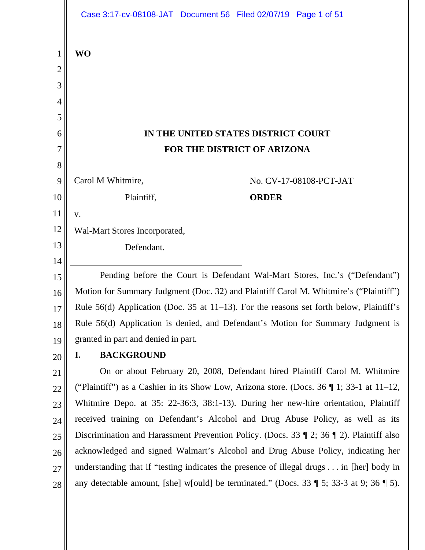|                | Case 3:17-cv-08108-JAT Document 56 Filed 02/07/19 Page 1 of 51                                              |                                                                            |  |
|----------------|-------------------------------------------------------------------------------------------------------------|----------------------------------------------------------------------------|--|
| 1              | <b>WO</b>                                                                                                   |                                                                            |  |
| $\overline{c}$ |                                                                                                             |                                                                            |  |
| 3              |                                                                                                             |                                                                            |  |
| 4              |                                                                                                             |                                                                            |  |
| 5              |                                                                                                             |                                                                            |  |
| 6              | IN THE UNITED STATES DISTRICT COURT                                                                         |                                                                            |  |
| 7              | FOR THE DISTRICT OF ARIZONA                                                                                 |                                                                            |  |
| 8              |                                                                                                             |                                                                            |  |
| 9              | Carol M Whitmire,                                                                                           | No. CV-17-08108-PCT-JAT                                                    |  |
| 10             | Plaintiff,                                                                                                  | <b>ORDER</b>                                                               |  |
| 11             | V.                                                                                                          |                                                                            |  |
| 12             | Wal-Mart Stores Incorporated,                                                                               |                                                                            |  |
| 13             | Defendant.                                                                                                  |                                                                            |  |
| 14             |                                                                                                             |                                                                            |  |
| 15             | Pending before the Court is Defendant Wal-Mart Stores, Inc.'s ("Defendant")                                 |                                                                            |  |
| 16             | Motion for Summary Judgment (Doc. 32) and Plaintiff Carol M. Whitmire's ("Plaintiff")                       |                                                                            |  |
| 17             | Rule $56(d)$ Application (Doc. 35 at 11–13). For the reasons set forth below, Plaintiff's                   |                                                                            |  |
| 18             | Rule 56(d) Application is denied, and Defendant's Motion for Summary Judgment is                            |                                                                            |  |
| 19             | granted in part and denied in part.                                                                         |                                                                            |  |
| 20             | <b>BACKGROUND</b><br>I.                                                                                     |                                                                            |  |
| 21             |                                                                                                             | On or about February 20, 2008, Defendant hired Plaintiff Carol M. Whitmire |  |
| 22             | ("Plaintiff") as a Cashier in its Show Low, Arizona store. (Docs. 36   1; 33-1 at 11-12,                    |                                                                            |  |
| 23             | Whitmire Depo. at 35: 22-36:3, 38:1-13). During her new-hire orientation, Plaintiff                         |                                                                            |  |
| 24             | received training on Defendant's Alcohol and Drug Abuse Policy, as well as its                              |                                                                            |  |
| 25             | Discrimination and Harassment Prevention Policy. (Docs. 33 $\parallel$ 2; 36 $\parallel$ 2). Plaintiff also |                                                                            |  |
| 26             | acknowledged and signed Walmart's Alcohol and Drug Abuse Policy, indicating her                             |                                                                            |  |
| 27             | understanding that if "testing indicates the presence of illegal drugs in [her] body in                     |                                                                            |  |
| 28             | any detectable amount, [she] w[ould] be terminated." (Docs. 33 $\parallel$ 5; 33-3 at 9; 36 $\parallel$ 5). |                                                                            |  |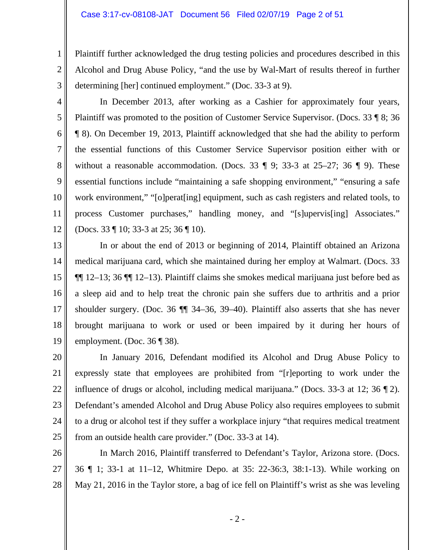Plaintiff further acknowledged the drug testing policies and procedures described in this Alcohol and Drug Abuse Policy, "and the use by Wal-Mart of results thereof in further determining [her] continued employment." (Doc. 33-3 at 9).

3 4

5

6

7

8

9

10

11

12

1

2

 In December 2013, after working as a Cashier for approximately four years, Plaintiff was promoted to the position of Customer Service Supervisor. (Docs. 33 ¶ 8; 36 ¶ 8). On December 19, 2013, Plaintiff acknowledged that she had the ability to perform the essential functions of this Customer Service Supervisor position either with or without a reasonable accommodation. (Docs. 33  $\parallel$  9; 33-3 at 25–27; 36  $\parallel$  9). These essential functions include "maintaining a safe shopping environment," "ensuring a safe work environment," "[o]perat[ing] equipment, such as cash registers and related tools, to process Customer purchases," handling money, and "[s]upervis[ing] Associates." (Docs. 33 ¶ 10; 33-3 at 25; 36 ¶ 10).

13 14 15 16 17 18 19 In or about the end of 2013 or beginning of 2014, Plaintiff obtained an Arizona medical marijuana card, which she maintained during her employ at Walmart. (Docs. 33 ¶¶ 12–13; 36 ¶¶ 12–13). Plaintiff claims she smokes medical marijuana just before bed as a sleep aid and to help treat the chronic pain she suffers due to arthritis and a prior shoulder surgery. (Doc. 36 ¶¶ 34–36, 39–40). Plaintiff also asserts that she has never brought marijuana to work or used or been impaired by it during her hours of employment. (Doc. 36 ¶ 38).

20 21 22 23 24 25 In January 2016, Defendant modified its Alcohol and Drug Abuse Policy to expressly state that employees are prohibited from "[r]eporting to work under the influence of drugs or alcohol, including medical marijuana." (Docs. 33-3 at 12; 36 ¶ 2). Defendant's amended Alcohol and Drug Abuse Policy also requires employees to submit to a drug or alcohol test if they suffer a workplace injury "that requires medical treatment from an outside health care provider." (Doc. 33-3 at 14).

26 27 28 In March 2016, Plaintiff transferred to Defendant's Taylor, Arizona store. (Docs. 36 ¶ 1; 33-1 at 11–12, Whitmire Depo. at 35: 22-36:3, 38:1-13). While working on May 21, 2016 in the Taylor store, a bag of ice fell on Plaintiff's wrist as she was leveling

- 2 -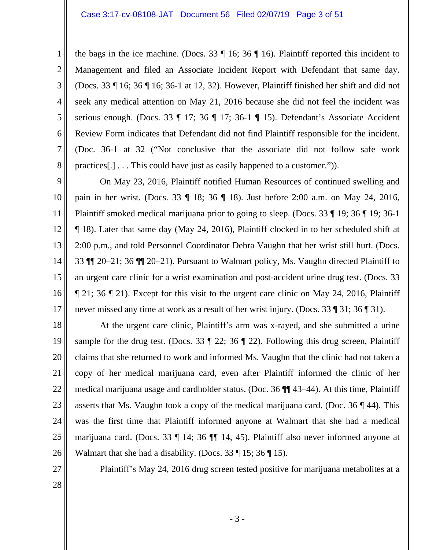6 7 the bags in the ice machine. (Docs. 33 ¶ 16; 36 ¶ 16). Plaintiff reported this incident to Management and filed an Associate Incident Report with Defendant that same day. (Docs. 33 ¶ 16; 36 ¶ 16; 36-1 at 12, 32). However, Plaintiff finished her shift and did not seek any medical attention on May 21, 2016 because she did not feel the incident was serious enough. (Docs. 33 ¶ 17; 36 ¶ 17; 36-1 ¶ 15). Defendant's Associate Accident Review Form indicates that Defendant did not find Plaintiff responsible for the incident. (Doc. 36-1 at 32 ("Not conclusive that the associate did not follow safe work practices[.] . . . This could have just as easily happened to a customer.")).

9 10 11 12 13 14 15 16 17 On May 23, 2016, Plaintiff notified Human Resources of continued swelling and pain in her wrist. (Docs. 33 ¶ 18; 36 ¶ 18). Just before 2:00 a.m. on May 24, 2016, Plaintiff smoked medical marijuana prior to going to sleep. (Docs. 33 ¶ 19; 36 ¶ 19; 36-1 ¶ 18). Later that same day (May 24, 2016), Plaintiff clocked in to her scheduled shift at 2:00 p.m., and told Personnel Coordinator Debra Vaughn that her wrist still hurt. (Docs. 33 ¶¶ 20–21; 36 ¶¶ 20–21). Pursuant to Walmart policy, Ms. Vaughn directed Plaintiff to an urgent care clinic for a wrist examination and post-accident urine drug test. (Docs. 33 ¶ 21; 36 ¶ 21). Except for this visit to the urgent care clinic on May 24, 2016, Plaintiff never missed any time at work as a result of her wrist injury. (Docs. 33 ¶ 31; 36 ¶ 31).

18 19 20 21 22 23 24 25 26 At the urgent care clinic, Plaintiff's arm was x-rayed, and she submitted a urine sample for the drug test. (Docs. 33  $\parallel$  22; 36  $\parallel$  22). Following this drug screen, Plaintiff claims that she returned to work and informed Ms. Vaughn that the clinic had not taken a copy of her medical marijuana card, even after Plaintiff informed the clinic of her medical marijuana usage and cardholder status. (Doc. 36 ¶¶ 43–44). At this time, Plaintiff asserts that Ms. Vaughn took a copy of the medical marijuana card. (Doc.  $36 \text{ } \sqrt{\phantom{a}}\,44$ ). This was the first time that Plaintiff informed anyone at Walmart that she had a medical marijuana card. (Docs. 33 ¶ 14; 36 ¶¶ 14, 45). Plaintiff also never informed anyone at Walmart that she had a disability. (Docs.  $33 \text{ } \text{\textdegree{l}}\, 15$ ;  $36 \text{ } \text{\textdegree{l}}\, 15$ ).

27

1

2

3

4

5

8

Plaintiff's May 24, 2016 drug screen tested positive for marijuana metabolites at a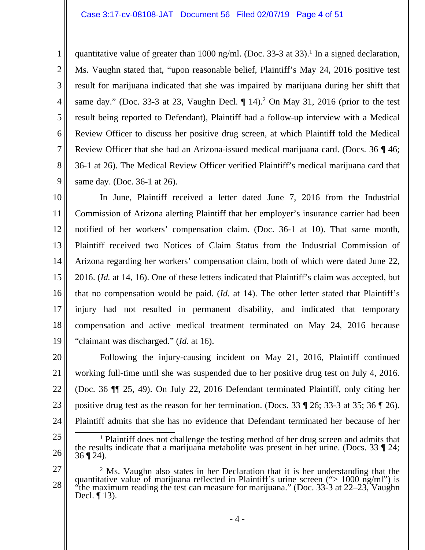#### Case 3:17-cv-08108-JAT Document 56 Filed 02/07/19 Page 4 of 51

1

2

3

4

5

7

8

9

6 quantitative value of greater than 1000 ng/ml. (Doc. 33-3 at 33).<sup>1</sup> In a signed declaration, Ms. Vaughn stated that, "upon reasonable belief, Plaintiff's May 24, 2016 positive test result for marijuana indicated that she was impaired by marijuana during her shift that same day." (Doc. 33-3 at 23, Vaughn Decl.  $\P$  14).<sup>2</sup> On May 31, 2016 (prior to the test result being reported to Defendant), Plaintiff had a follow-up interview with a Medical Review Officer to discuss her positive drug screen, at which Plaintiff told the Medical Review Officer that she had an Arizona-issued medical marijuana card. (Docs. 36 ¶ 46; 36-1 at 26). The Medical Review Officer verified Plaintiff's medical marijuana card that same day. (Doc. 36-1 at 26).

10 11 12 13 14 15 16 17 18 19 In June, Plaintiff received a letter dated June 7, 2016 from the Industrial Commission of Arizona alerting Plaintiff that her employer's insurance carrier had been notified of her workers' compensation claim. (Doc. 36-1 at 10). That same month, Plaintiff received two Notices of Claim Status from the Industrial Commission of Arizona regarding her workers' compensation claim, both of which were dated June 22, 2016. (*Id.* at 14, 16). One of these letters indicated that Plaintiff's claim was accepted, but that no compensation would be paid. (*Id.* at 14). The other letter stated that Plaintiff's injury had not resulted in permanent disability, and indicated that temporary compensation and active medical treatment terminated on May 24, 2016 because "claimant was discharged." (*Id.* at 16).

20 21 22 23 24 Following the injury-causing incident on May 21, 2016, Plaintiff continued working full-time until she was suspended due to her positive drug test on July 4, 2016. (Doc. 36 ¶¶ 25, 49). On July 22, 2016 Defendant terminated Plaintiff, only citing her positive drug test as the reason for her termination. (Docs. 33 ¶ 26; 33-3 at 35; 36 ¶ 26). Plaintiff admits that she has no evidence that Defendant terminated her because of her

<sup>25</sup>  26 <u>1</u> <sup>1</sup> Plaintiff does not challenge the testing method of her drug screen and admits that the results indicate that a marijuana metabolite was present in her urine. (Docs. 33  $\parallel$  24; 36  $\parallel$  24).

<sup>27</sup>  28 <sup>2</sup> Ms. Vaughn also states in her Declaration that it is her understanding that the quantitative value of marijuana reflected in Plaintiff's urine screen ("> 1000 ng/ml") is "the maximum reading the test can measure for m Decl. ¶ 13).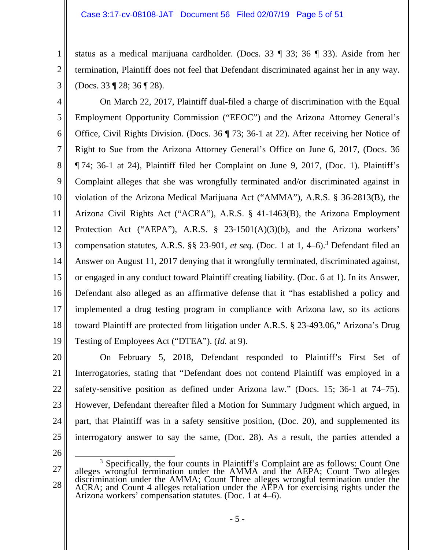#### Case 3:17-cv-08108-JAT Document 56 Filed 02/07/19 Page 5 of 51

status as a medical marijuana cardholder. (Docs. 33 ¶ 33; 36 ¶ 33). Aside from her termination, Plaintiff does not feel that Defendant discriminated against her in any way. (Docs. 33 ¶ 28; 36 ¶ 28).

4 5 6 7 8 9 10 11 12 13 14 15 16 17 18 19 On March 22, 2017, Plaintiff dual-filed a charge of discrimination with the Equal Employment Opportunity Commission ("EEOC") and the Arizona Attorney General's Office, Civil Rights Division. (Docs. 36 ¶ 73; 36-1 at 22). After receiving her Notice of Right to Sue from the Arizona Attorney General's Office on June 6, 2017, (Docs. 36 ¶ 74; 36-1 at 24), Plaintiff filed her Complaint on June 9, 2017, (Doc. 1). Plaintiff's Complaint alleges that she was wrongfully terminated and/or discriminated against in violation of the Arizona Medical Marijuana Act ("AMMA"), A.R.S. § 36-2813(B), the Arizona Civil Rights Act ("ACRA"), A.R.S. § 41-1463(B), the Arizona Employment Protection Act ("AEPA"), A.R.S. § 23-1501(A)(3)(b), and the Arizona workers' compensation statutes, A.R.S. §§ 23-901, *et seq*. (Doc. 1 at 1, 4–6).3 Defendant filed an Answer on August 11, 2017 denying that it wrongfully terminated, discriminated against, or engaged in any conduct toward Plaintiff creating liability. (Doc. 6 at 1). In its Answer, Defendant also alleged as an affirmative defense that it "has established a policy and implemented a drug testing program in compliance with Arizona law, so its actions toward Plaintiff are protected from litigation under A.R.S. § 23-493.06," Arizona's Drug Testing of Employees Act ("DTEA"). (*Id.* at 9).

20 21 22 23 24 25 On February 5, 2018, Defendant responded to Plaintiff's First Set of Interrogatories, stating that "Defendant does not contend Plaintiff was employed in a safety-sensitive position as defined under Arizona law." (Docs. 15; 36-1 at 74–75). However, Defendant thereafter filed a Motion for Summary Judgment which argued, in part, that Plaintiff was in a safety sensitive position, (Doc. 20), and supplemented its interrogatory answer to say the same, (Doc. 28). As a result, the parties attended a

26

1

2

<sup>27</sup>  28 <sup>3</sup> Specifically, the four counts in Plaintiff's Complaint are as follows: Count One alleges wrongful termination under the AMMA and the AEPA; Count Two alleges<br>discrimination under the AMMA; Count Three alleges wrongful termination under the<br>ACRA; and Count 4 alleges retaliation under the AEPA for exercis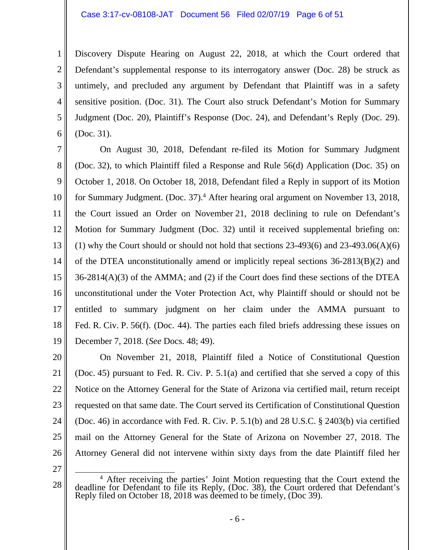#### Case 3:17-cv-08108-JAT Document 56 Filed 02/07/19 Page 6 of 51

Discovery Dispute Hearing on August 22, 2018, at which the Court ordered that Defendant's supplemental response to its interrogatory answer (Doc. 28) be struck as untimely, and precluded any argument by Defendant that Plaintiff was in a safety sensitive position. (Doc. 31). The Court also struck Defendant's Motion for Summary Judgment (Doc. 20), Plaintiff's Response (Doc. 24), and Defendant's Reply (Doc. 29). (Doc. 31).

7 8 9 10 11 12 13 14 15 16 17 18 19 On August 30, 2018, Defendant re-filed its Motion for Summary Judgment (Doc. 32), to which Plaintiff filed a Response and Rule 56(d) Application (Doc. 35) on October 1, 2018. On October 18, 2018, Defendant filed a Reply in support of its Motion for Summary Judgment. (Doc. 37).<sup>4</sup> After hearing oral argument on November 13, 2018, the Court issued an Order on November 21, 2018 declining to rule on Defendant's Motion for Summary Judgment (Doc. 32) until it received supplemental briefing on: (1) why the Court should or should not hold that sections  $23-493(6)$  and  $23-493.06(A)(6)$ of the DTEA unconstitutionally amend or implicitly repeal sections 36-2813(B)(2) and 36-2814(A)(3) of the AMMA; and (2) if the Court does find these sections of the DTEA unconstitutional under the Voter Protection Act, why Plaintiff should or should not be entitled to summary judgment on her claim under the AMMA pursuant to Fed. R. Civ. P. 56(f). (Doc. 44). The parties each filed briefs addressing these issues on December 7, 2018. (*See* Docs. 48; 49).

20 21 22 23 24 25 26 On November 21, 2018, Plaintiff filed a Notice of Constitutional Question (Doc. 45) pursuant to Fed. R. Civ. P. 5.1(a) and certified that she served a copy of this Notice on the Attorney General for the State of Arizona via certified mail, return receipt requested on that same date. The Court served its Certification of Constitutional Question (Doc. 46) in accordance with Fed. R. Civ. P. 5.1(b) and 28 U.S.C. § 2403(b) via certified mail on the Attorney General for the State of Arizona on November 27, 2018. The Attorney General did not intervene within sixty days from the date Plaintiff filed her

27

1

2

3

4

5

<sup>28</sup>  <sup>4</sup> After receiving the parties' Joint Motion requesting that the Court extend the deadline for Defendant to file its Reply, (Doc. 38), the Court ordered that Defendant's Reply filed on October 18, 2018 was deemed to be timely, (Doc 39).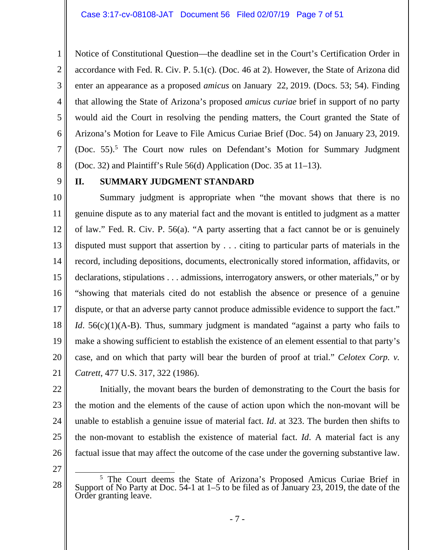Notice of Constitutional Question—the deadline set in the Court's Certification Order in accordance with Fed. R. Civ. P. 5.1(c). (Doc. 46 at 2). However, the State of Arizona did enter an appearance as a proposed *amicus* on January 22, 2019. (Docs. 53; 54). Finding that allowing the State of Arizona's proposed *amicus curiae* brief in support of no party would aid the Court in resolving the pending matters, the Court granted the State of Arizona's Motion for Leave to File Amicus Curiae Brief (Doc. 54) on January 23, 2019. (Doc. 55).<sup>5</sup> The Court now rules on Defendant's Motion for Summary Judgment (Doc. 32) and Plaintiff's Rule 56(d) Application (Doc. 35 at 11–13).

9

1

2

3

4

5

6

7

8

# **II. SUMMARY JUDGMENT STANDARD**

10 11 12 13 14 15 16 17 18 19 20 21 Summary judgment is appropriate when "the movant shows that there is no genuine dispute as to any material fact and the movant is entitled to judgment as a matter of law." Fed. R. Civ. P. 56(a). "A party asserting that a fact cannot be or is genuinely disputed must support that assertion by . . . citing to particular parts of materials in the record, including depositions, documents, electronically stored information, affidavits, or declarations, stipulations . . . admissions, interrogatory answers, or other materials," or by "showing that materials cited do not establish the absence or presence of a genuine dispute, or that an adverse party cannot produce admissible evidence to support the fact." *Id.* 56(c)(1)(A-B). Thus, summary judgment is mandated "against a party who fails to make a showing sufficient to establish the existence of an element essential to that party's case, and on which that party will bear the burden of proof at trial." *Celotex Corp. v. Catrett*, 477 U.S. 317, 322 (1986).

22

23 24 25 26 Initially, the movant bears the burden of demonstrating to the Court the basis for the motion and the elements of the cause of action upon which the non-movant will be unable to establish a genuine issue of material fact. *Id*. at 323. The burden then shifts to the non-movant to establish the existence of material fact. *Id*. A material fact is any factual issue that may affect the outcome of the case under the governing substantive law.

27

 $rac{1}{5}$ <sup>5</sup> The Court deems the State of Arizona's Proposed Amicus Curiae Brief in Support of No Party at Doc. 54-1 at  $1-5$  to be filed as of January 23, 2019, the date of the Order granting leave.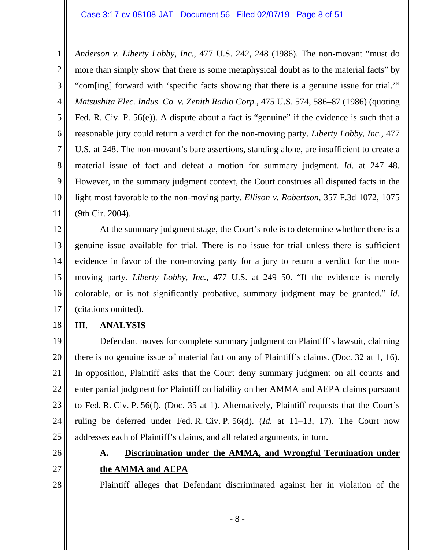1 2 3 4 5 6 7 8 9 10 11 *Anderson v. Liberty Lobby, Inc.*, 477 U.S. 242, 248 (1986). The non-movant "must do more than simply show that there is some metaphysical doubt as to the material facts" by "com[ing] forward with 'specific facts showing that there is a genuine issue for trial.'" *Matsushita Elec. Indus. Co. v. Zenith Radio Corp.*, 475 U.S. 574, 586–87 (1986) (quoting Fed. R. Civ. P. 56(e)). A dispute about a fact is "genuine" if the evidence is such that a reasonable jury could return a verdict for the non-moving party. *Liberty Lobby, Inc.*, 477 U.S. at 248. The non-movant's bare assertions, standing alone, are insufficient to create a material issue of fact and defeat a motion for summary judgment. *Id*. at 247–48. However, in the summary judgment context, the Court construes all disputed facts in the light most favorable to the non-moving party. *Ellison v. Robertson*, 357 F.3d 1072, 1075 (9th Cir. 2004).

12 13 14 15 16 17 At the summary judgment stage, the Court's role is to determine whether there is a genuine issue available for trial. There is no issue for trial unless there is sufficient evidence in favor of the non-moving party for a jury to return a verdict for the nonmoving party. *Liberty Lobby, Inc.*, 477 U.S. at 249–50. "If the evidence is merely colorable, or is not significantly probative, summary judgment may be granted." *Id*. (citations omitted).

18

# **III. ANALYSIS**

19 20 21 22 23 24 25 Defendant moves for complete summary judgment on Plaintiff's lawsuit, claiming there is no genuine issue of material fact on any of Plaintiff's claims. (Doc. 32 at 1, 16). In opposition, Plaintiff asks that the Court deny summary judgment on all counts and enter partial judgment for Plaintiff on liability on her AMMA and AEPA claims pursuant to Fed. R. Civ. P. 56(f). (Doc. 35 at 1). Alternatively, Plaintiff requests that the Court's ruling be deferred under Fed. R. Civ. P. 56(d). (*Id.* at 11–13, 17). The Court now addresses each of Plaintiff's claims, and all related arguments, in turn.

26

27

28

# **A. Discrimination under the AMMA, and Wrongful Termination under the AMMA and AEPA**

Plaintiff alleges that Defendant discriminated against her in violation of the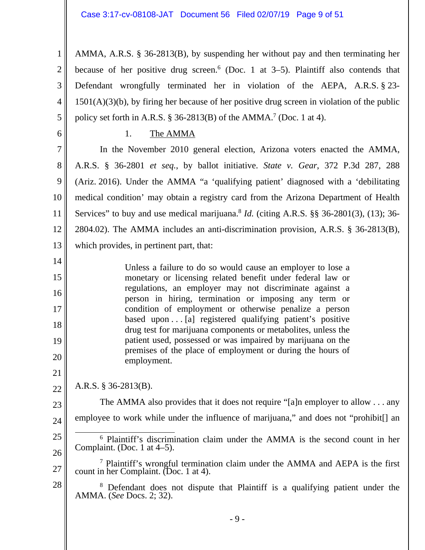1 2 3 4 5 AMMA, A.R.S. § 36-2813(B), by suspending her without pay and then terminating her because of her positive drug screen.<sup>6</sup> (Doc. 1 at  $3-5$ ). Plaintiff also contends that Defendant wrongfully terminated her in violation of the AEPA, A.R.S. § 23- 1501(A)(3)(b), by firing her because of her positive drug screen in violation of the public policy set forth in A.R.S.  $\S$  36-2813(B) of the AMMA.<sup>7</sup> (Doc. 1 at 4).

1. The AMMA

7 8 9 10 11 12 13 In the November 2010 general election, Arizona voters enacted the AMMA, A.R.S. § 36-2801 *et seq.*, by ballot initiative. *State v. Gear*, 372 P.3d 287, 288 (Ariz. 2016). Under the AMMA "a 'qualifying patient' diagnosed with a 'debilitating medical condition' may obtain a registry card from the Arizona Department of Health Services" to buy and use medical marijuana.<sup>8</sup> *Id.* (citing A.R.S. §§ 36-2801(3), (13); 36-2804.02). The AMMA includes an anti-discrimination provision, A.R.S. § 36-2813(B), which provides, in pertinent part, that:

Unless a failure to do so would cause an employer to lose a monetary or licensing related benefit under federal law or regulations, an employer may not discriminate against a person in hiring, termination or imposing any term or condition of employment or otherwise penalize a person based upon . . . [a] registered qualifying patient's positive drug test for marijuana components or metabolites, unless the patient used, possessed or was impaired by marijuana on the premises of the place of employment or during the hours of employment.

22 A.R.S. § 36-2813(B).

23 24 The AMMA also provides that it does not require "[a]n employer to allow . . . any employee to work while under the influence of marijuana," and does not "prohibit.

25 26 6

6

14

15

16

17

18

19

20

21

<sup>6</sup> Plaintiff's discrimination claim under the AMMA is the second count in her Complaint. (Doc. 1 at 4–5).

- 27 7 Plaintiff's wrongful termination claim under the AMMA and AEPA is the first count in her Complaint. (Doc. 1 at 4).
- 28 8 Defendant does not dispute that Plaintiff is a qualifying patient under the AMMA. (*See* Docs. 2; 32).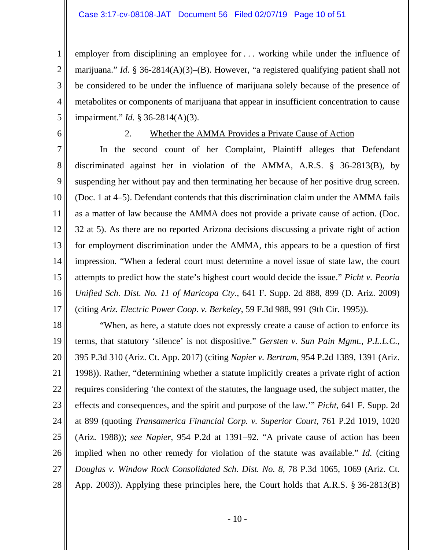#### Case 3:17-cv-08108-JAT Document 56 Filed 02/07/19 Page 10 of 51

employer from disciplining an employee for . . . working while under the influence of marijuana." *Id.* § 36-2814(A)(3)–(B). However, "a registered qualifying patient shall not be considered to be under the influence of marijuana solely because of the presence of metabolites or components of marijuana that appear in insufficient concentration to cause impairment." *Id.* § 36-2814(A)(3).

6

1

2

3

4

5

# 2. Whether the AMMA Provides a Private Cause of Action

7 8 9 10 11 12 13 14 15 16 17 In the second count of her Complaint, Plaintiff alleges that Defendant discriminated against her in violation of the AMMA, A.R.S. § 36-2813(B), by suspending her without pay and then terminating her because of her positive drug screen. (Doc. 1 at 4–5). Defendant contends that this discrimination claim under the AMMA fails as a matter of law because the AMMA does not provide a private cause of action. (Doc. 32 at 5). As there are no reported Arizona decisions discussing a private right of action for employment discrimination under the AMMA, this appears to be a question of first impression. "When a federal court must determine a novel issue of state law, the court attempts to predict how the state's highest court would decide the issue." *Picht v. Peoria Unified Sch. Dist. No. 11 of Maricopa Cty.*, 641 F. Supp. 2d 888, 899 (D. Ariz. 2009) (citing *Ariz. Electric Power Coop. v. Berkeley*, 59 F.3d 988, 991 (9th Cir. 1995)).

18 19 20 21 22 23 24 25 26 27 28 "When, as here, a statute does not expressly create a cause of action to enforce its terms, that statutory 'silence' is not dispositive." *Gersten v. Sun Pain Mgmt., P.L.L.C.*, 395 P.3d 310 (Ariz. Ct. App. 2017) (citing *Napier v. Bertram*, 954 P.2d 1389, 1391 (Ariz. 1998)). Rather, "determining whether a statute implicitly creates a private right of action requires considering 'the context of the statutes, the language used, the subject matter, the effects and consequences, and the spirit and purpose of the law.'" *Picht*, 641 F. Supp. 2d at 899 (quoting *Transamerica Financial Corp. v. Superior Court*, 761 P.2d 1019, 1020 (Ariz. 1988)); *see Napier*, 954 P.2d at 1391–92. "A private cause of action has been implied when no other remedy for violation of the statute was available." *Id.* (citing *Douglas v. Window Rock Consolidated Sch. Dist. No. 8*, 78 P.3d 1065, 1069 (Ariz. Ct. App. 2003)). Applying these principles here, the Court holds that A.R.S. § 36-2813(B)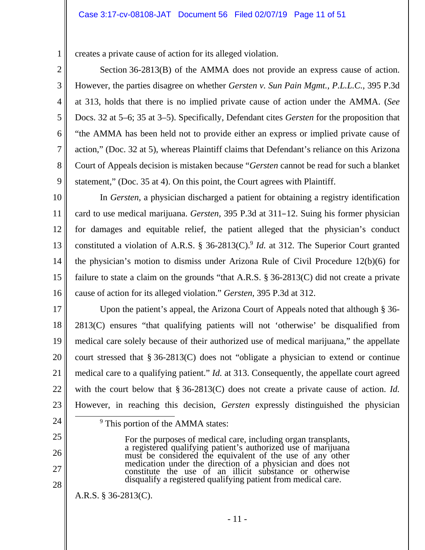#### Case 3:17-cv-08108-JAT Document 56 Filed 02/07/19 Page 11 of 51

creates a private cause of action for its alleged violation.

 Section 36-2813(B) of the AMMA does not provide an express cause of action. However, the parties disagree on whether *Gersten v. Sun Pain Mgmt., P.L.L.C.*, 395 P.3d at 313, holds that there is no implied private cause of action under the AMMA. (*See* Docs. 32 at 5–6; 35 at 3–5). Specifically, Defendant cites *Gersten* for the proposition that "the AMMA has been held not to provide either an express or implied private cause of action," (Doc. 32 at 5), whereas Plaintiff claims that Defendant's reliance on this Arizona Court of Appeals decision is mistaken because "*Gersten* cannot be read for such a blanket statement," (Doc. 35 at 4). On this point, the Court agrees with Plaintiff.

10 11 12 13 14 15 16 In *Gersten*, a physician discharged a patient for obtaining a registry identification card to use medical marijuana. *Gersten*, 395 P.3d at 311–12. Suing his former physician for damages and equitable relief, the patient alleged that the physician's conduct constituted a violation of A.R.S.  $\S$  36-2813(C).<sup>9</sup> *Id.* at 312. The Superior Court granted the physician's motion to dismiss under Arizona Rule of Civil Procedure 12(b)(6) for failure to state a claim on the grounds "that A.R.S. § 36-2813(C) did not create a private cause of action for its alleged violation." *Gersten*, 395 P.3d at 312.

17 18 19 20 21 22 23 Upon the patient's appeal, the Arizona Court of Appeals noted that although § 36- 2813(C) ensures "that qualifying patients will not 'otherwise' be disqualified from medical care solely because of their authorized use of medical marijuana," the appellate court stressed that § 36-2813(C) does not "obligate a physician to extend or continue medical care to a qualifying patient." *Id.* at 313. Consequently, the appellate court agreed with the court below that § 36-2813(C) does not create a private cause of action. *Id.* However, in reaching this decision, *Gersten* expressly distinguished the physician

24

9

1

2

3

4

5

6

7

8

9

- 25
- 26
- 27
- 28

A.R.S. § 36-2813(C).

<sup>9</sup> This portion of the AMMA states:

- 11 -

For the purposes of medical care, including organ transplants,<br>a registered qualifying patient's authorized use of marijuana<br>must be considered the equivalent of the use of any other<br>medication under the direction of a phy

disqualify a registered qualifying patient from medical care.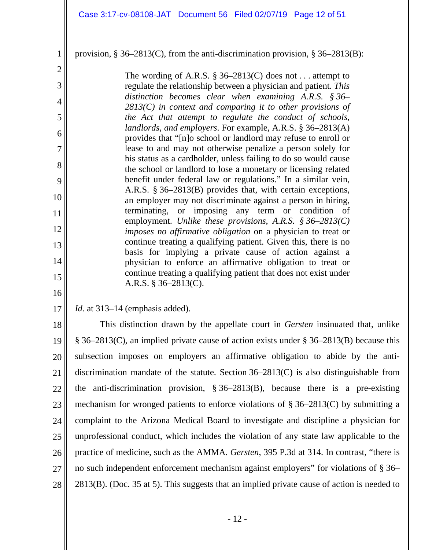### provision, § 36–2813(C), from the anti-discrimination provision, § 36–2813(B):

The wording of A.R.S.  $\S 36-2813(C)$  does not ... attempt to regulate the relationship between a physician and patient. *This distinction becomes clear when examining A.R.S. § 36– 2813(C) in context and comparing it to other provisions of the Act that attempt to regulate the conduct of schools, landlords, and employers*. For example, A.R.S. § 36–2813(A) provides that "[n]o school or landlord may refuse to enroll or lease to and may not otherwise penalize a person solely for his status as a cardholder, unless failing to do so would cause the school or landlord to lose a monetary or licensing related benefit under federal law or regulations." In a similar vein, A.R.S. § 36–2813(B) provides that, with certain exceptions, an employer may not discriminate against a person in hiring, terminating, or imposing any term or condition of employment. *Unlike these provisions*, *A.R.S. § 36–2813(C) imposes no affirmative obligation* on a physician to treat or continue treating a qualifying patient. Given this, there is no basis for implying a private cause of action against a physician to enforce an affirmative obligation to treat or continue treating a qualifying patient that does not exist under A.R.S. § 36–2813(C).

#### 17 *Id.* at 313–14 (emphasis added).

1

2

3

4

5

6

7

8

9

10

11

12

13

14

15

16

18 19 20 21 22 23 24 25 26 27 28 This distinction drawn by the appellate court in *Gersten* insinuated that, unlike § 36–2813(C), an implied private cause of action exists under § 36–2813(B) because this subsection imposes on employers an affirmative obligation to abide by the antidiscrimination mandate of the statute. Section 36–2813(C) is also distinguishable from the anti-discrimination provision, § 36–2813(B), because there is a pre-existing mechanism for wronged patients to enforce violations of § 36–2813(C) by submitting a complaint to the Arizona Medical Board to investigate and discipline a physician for unprofessional conduct, which includes the violation of any state law applicable to the practice of medicine, such as the AMMA. *Gersten*, 395 P.3d at 314. In contrast, "there is no such independent enforcement mechanism against employers" for violations of § 36– 2813(B). (Doc. 35 at 5). This suggests that an implied private cause of action is needed to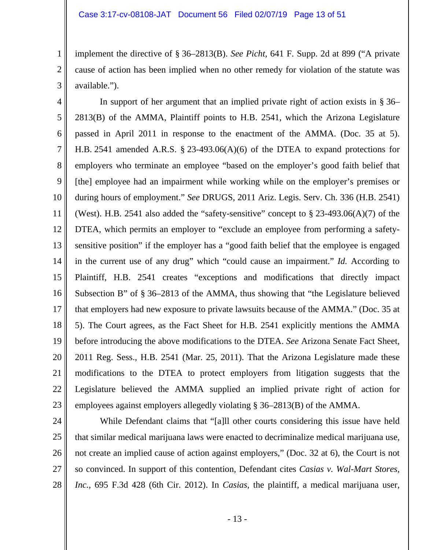implement the directive of § 36–2813(B). *See Picht*, 641 F. Supp. 2d at 899 ("A private cause of action has been implied when no other remedy for violation of the statute was available.").

4 5 6 7 8 9 10 11 12 13 14 15 16 17 18 19 20 21 22 23 In support of her argument that an implied private right of action exists in § 36– 2813(B) of the AMMA, Plaintiff points to H.B. 2541, which the Arizona Legislature passed in April 2011 in response to the enactment of the AMMA. (Doc. 35 at 5). H.B. 2541 amended A.R.S. § 23-493.06(A)(6) of the DTEA to expand protections for employers who terminate an employee "based on the employer's good faith belief that [the] employee had an impairment while working while on the employer's premises or during hours of employment." *See* DRUGS, 2011 Ariz. Legis. Serv. Ch. 336 (H.B. 2541) (West). H.B. 2541 also added the "safety-sensitive" concept to  $\S$  23-493.06(A)(7) of the DTEA, which permits an employer to "exclude an employee from performing a safetysensitive position" if the employer has a "good faith belief that the employee is engaged in the current use of any drug" which "could cause an impairment." *Id.* According to Plaintiff, H.B. 2541 creates "exceptions and modifications that directly impact Subsection B" of § 36–2813 of the AMMA, thus showing that "the Legislature believed that employers had new exposure to private lawsuits because of the AMMA." (Doc. 35 at 5). The Court agrees, as the Fact Sheet for H.B. 2541 explicitly mentions the AMMA before introducing the above modifications to the DTEA. *See* Arizona Senate Fact Sheet, 2011 Reg. Sess., H.B. 2541 (Mar. 25, 2011). That the Arizona Legislature made these modifications to the DTEA to protect employers from litigation suggests that the Legislature believed the AMMA supplied an implied private right of action for employees against employers allegedly violating § 36–2813(B) of the AMMA.

24

1

2

3

25 26

27

28

 While Defendant claims that "[a]ll other courts considering this issue have held that similar medical marijuana laws were enacted to decriminalize medical marijuana use, not create an implied cause of action against employers," (Doc. 32 at 6), the Court is not so convinced. In support of this contention, Defendant cites *Casias v. Wal-Mart Stores, Inc.*, 695 F.3d 428 (6th Cir. 2012). In *Casias*, the plaintiff, a medical marijuana user,

- 13 -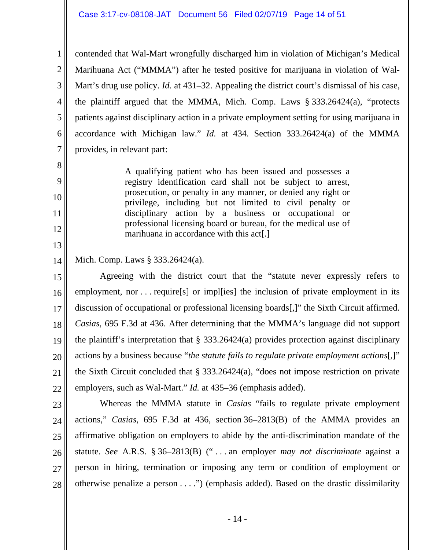6 7 contended that Wal-Mart wrongfully discharged him in violation of Michigan's Medical Marihuana Act ("MMMA") after he tested positive for marijuana in violation of Wal-Mart's drug use policy. *Id.* at 431–32. Appealing the district court's dismissal of his case, the plaintiff argued that the MMMA, Mich. Comp. Laws § 333.26424(a), "protects patients against disciplinary action in a private employment setting for using marijuana in accordance with Michigan law." *Id.* at 434. Section 333.26424(a) of the MMMA provides, in relevant part:

> A qualifying patient who has been issued and possesses a registry identification card shall not be subject to arrest, prosecution, or penalty in any manner, or denied any right or privilege, including but not limited to civil penalty or disciplinary action by a business or occupational or professional licensing board or bureau, for the medical use of marihuana in accordance with this act[.]

14 Mich. Comp. Laws § 333.26424(a).

1

2

3

4

5

8

9

10

11

12

13

15 16 17 18 19 20 21 22 Agreeing with the district court that the "statute never expressly refers to employment, nor . . . require<sup>[s]</sup> or imple inclusion of private employment in its discussion of occupational or professional licensing boards[,]" the Sixth Circuit affirmed. *Casias*, 695 F.3d at 436. After determining that the MMMA's language did not support the plaintiff's interpretation that § 333.26424(a) provides protection against disciplinary actions by a business because "*the statute fails to regulate private employment actions*[,]" the Sixth Circuit concluded that § 333.26424(a), "does not impose restriction on private employers, such as Wal-Mart." *Id.* at 435–36 (emphasis added).

23 24 25 26 27 28 Whereas the MMMA statute in *Casias* "fails to regulate private employment actions," *Casias*, 695 F.3d at 436, section 36–2813(B) of the AMMA provides an affirmative obligation on employers to abide by the anti-discrimination mandate of the statute. *See* A.R.S. § 36–2813(B) (" . . . an employer *may not discriminate* against a person in hiring, termination or imposing any term or condition of employment or otherwise penalize a person . . . .") (emphasis added). Based on the drastic dissimilarity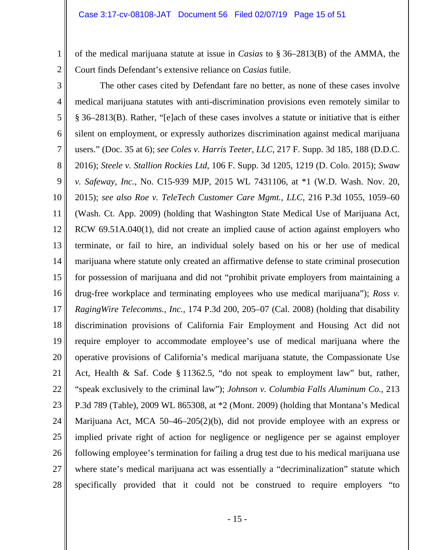1

2

of the medical marijuana statute at issue in *Casias* to § 36–2813(B) of the AMMA, the Court finds Defendant's extensive reliance on *Casias* futile.

3 4 5 6 7 8 9 10 11 12 13 14 15 16 17 18 19 20 21 22 23 24 25 26 27 28 The other cases cited by Defendant fare no better, as none of these cases involve medical marijuana statutes with anti-discrimination provisions even remotely similar to § 36–2813(B). Rather, "[e]ach of these cases involves a statute or initiative that is either silent on employment, or expressly authorizes discrimination against medical marijuana users." (Doc. 35 at 6); *see Coles v. Harris Teeter, LLC*, 217 F. Supp. 3d 185, 188 (D.D.C. 2016); *Steele v. Stallion Rockies Ltd*, 106 F. Supp. 3d 1205, 1219 (D. Colo. 2015); *Swaw v. Safeway, Inc.*, No. C15-939 MJP, 2015 WL 7431106, at \*1 (W.D. Wash. Nov. 20, 2015); *see also Roe v. TeleTech Customer Care Mgmt., LLC*, 216 P.3d 1055, 1059–60 (Wash. Ct. App. 2009) (holding that Washington State Medical Use of Marijuana Act, RCW 69.51A.040(1), did not create an implied cause of action against employers who terminate, or fail to hire, an individual solely based on his or her use of medical marijuana where statute only created an affirmative defense to state criminal prosecution for possession of marijuana and did not "prohibit private employers from maintaining a drug-free workplace and terminating employees who use medical marijuana"); *Ross v. RagingWire Telecomms., Inc.*, 174 P.3d 200, 205–07 (Cal. 2008) (holding that disability discrimination provisions of California Fair Employment and Housing Act did not require employer to accommodate employee's use of medical marijuana where the operative provisions of California's medical marijuana statute, the Compassionate Use Act, Health & Saf. Code § 11362.5, "do not speak to employment law" but, rather, "speak exclusively to the criminal law"); *Johnson v. Columbia Falls Aluminum Co.*, 213 P.3d 789 (Table), 2009 WL 865308, at \*2 (Mont. 2009) (holding that Montana's Medical Marijuana Act, MCA 50–46–205(2)(b), did not provide employee with an express or implied private right of action for negligence or negligence per se against employer following employee's termination for failing a drug test due to his medical marijuana use where state's medical marijuana act was essentially a "decriminalization" statute which specifically provided that it could not be construed to require employers "to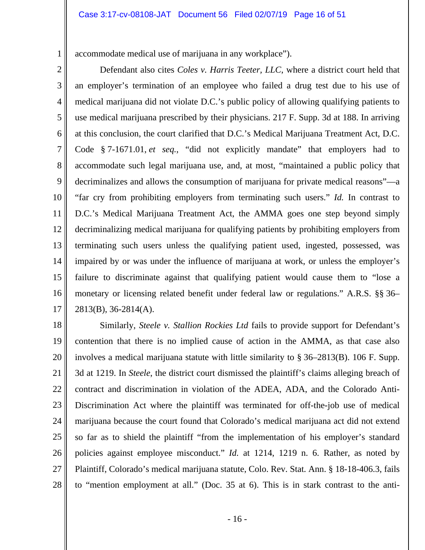accommodate medical use of marijuana in any workplace").

1

2 3 4 5 6 7 8 9 10 11 12 13 14 15 16 17 Defendant also cites *Coles v. Harris Teeter, LLC*, where a district court held that an employer's termination of an employee who failed a drug test due to his use of medical marijuana did not violate D.C.'s public policy of allowing qualifying patients to use medical marijuana prescribed by their physicians. 217 F. Supp. 3d at 188. In arriving at this conclusion, the court clarified that D.C.'s Medical Marijuana Treatment Act, D.C. Code § 7-1671.01, *et seq.*, "did not explicitly mandate" that employers had to accommodate such legal marijuana use, and, at most, "maintained a public policy that decriminalizes and allows the consumption of marijuana for private medical reasons"—a "far cry from prohibiting employers from terminating such users." *Id.* In contrast to D.C.'s Medical Marijuana Treatment Act, the AMMA goes one step beyond simply decriminalizing medical marijuana for qualifying patients by prohibiting employers from terminating such users unless the qualifying patient used, ingested, possessed, was impaired by or was under the influence of marijuana at work, or unless the employer's failure to discriminate against that qualifying patient would cause them to "lose a monetary or licensing related benefit under federal law or regulations." A.R.S. §§ 36– 2813(B), 36-2814(A).

18 19 20 21 22 23 24 25 26 27 28 Similarly, *Steele v. Stallion Rockies Ltd* fails to provide support for Defendant's contention that there is no implied cause of action in the AMMA, as that case also involves a medical marijuana statute with little similarity to § 36–2813(B). 106 F. Supp. 3d at 1219. In *Steele*, the district court dismissed the plaintiff's claims alleging breach of contract and discrimination in violation of the ADEA, ADA, and the Colorado Anti-Discrimination Act where the plaintiff was terminated for off-the-job use of medical marijuana because the court found that Colorado's medical marijuana act did not extend so far as to shield the plaintiff "from the implementation of his employer's standard policies against employee misconduct." *Id.* at 1214, 1219 n. 6. Rather, as noted by Plaintiff, Colorado's medical marijuana statute, Colo. Rev. Stat. Ann. § 18-18-406.3, fails to "mention employment at all." (Doc. 35 at 6). This is in stark contrast to the anti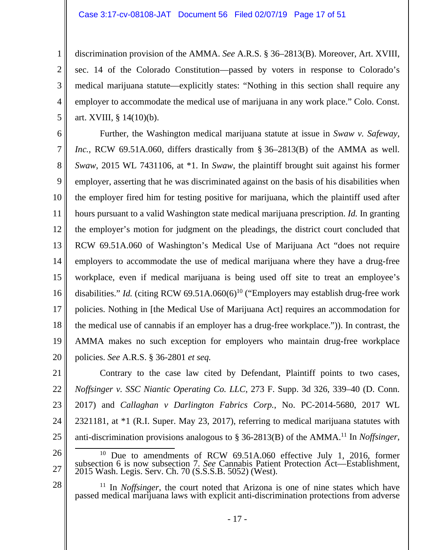1

2

3

4

5

28

discrimination provision of the AMMA. *See* A.R.S. § 36–2813(B). Moreover, Art. XVIII, sec. 14 of the Colorado Constitution—passed by voters in response to Colorado's medical marijuana statute—explicitly states: "Nothing in this section shall require any employer to accommodate the medical use of marijuana in any work place." Colo. Const. art. XVIII, § 14(10)(b).

6 7 8 9 10 11 12 13 14 15 16 17 18 19 20 Further, the Washington medical marijuana statute at issue in *Swaw v. Safeway, Inc.*, RCW 69.51A.060, differs drastically from § 36–2813(B) of the AMMA as well. *Swaw*, 2015 WL 7431106, at \*1. In *Swaw*, the plaintiff brought suit against his former employer, asserting that he was discriminated against on the basis of his disabilities when the employer fired him for testing positive for marijuana, which the plaintiff used after hours pursuant to a valid Washington state medical marijuana prescription. *Id.* In granting the employer's motion for judgment on the pleadings, the district court concluded that RCW 69.51A.060 of Washington's Medical Use of Marijuana Act "does not require employers to accommodate the use of medical marijuana where they have a drug-free workplace, even if medical marijuana is being used off site to treat an employee's disabilities." *Id.* (citing RCW 69.51A.060(6)<sup>10</sup> ("Employers may establish drug-free work policies. Nothing in [the Medical Use of Marijuana Act] requires an accommodation for the medical use of cannabis if an employer has a drug-free workplace.")). In contrast, the AMMA makes no such exception for employers who maintain drug-free workplace policies. *See* A.R.S. § 36-2801 *et seq.*

21 22 23 24 25 Contrary to the case law cited by Defendant, Plaintiff points to two cases, *Noffsinger v. SSC Niantic Operating Co. LLC*, 273 F. Supp. 3d 326, 339–40 (D. Conn. 2017) and *Callaghan v Darlington Fabrics Corp.*, No. PC-2014-5680, 2017 WL 2321181, at \*1 (R.I. Super. May 23, 2017), referring to medical marijuana statutes with anti-discrimination provisions analogous to § 36-2813(B) of the AMMA.11 In *Noffsinger*,

26 27 10 Due to amendments of RCW 69.51A.060 effective July 1, 2016, former subsection 6 is now subsection 7. *See* Cannabis Patient Protection Act—Establishment, 2015 Wash. Legis. Serv. Ch. 70 (S.S.S.B. 5052) (West).

<sup>11</sup> In *Noffsinger*, the court noted that Arizona is one of nine states which have passed medical marijuana laws with explicit anti-discrimination protections from adverse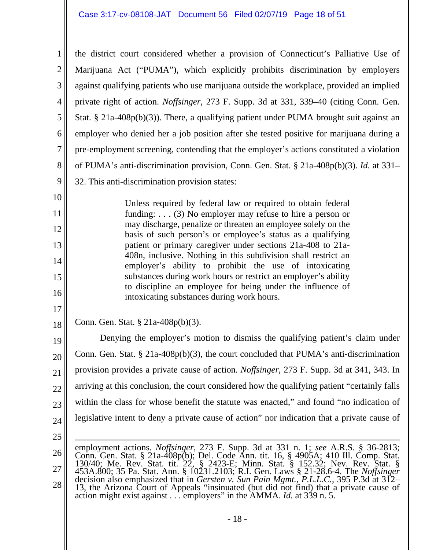1 2 3 4 5 6 7 8 9 the district court considered whether a provision of Connecticut's Palliative Use of Marijuana Act ("PUMA"), which explicitly prohibits discrimination by employers against qualifying patients who use marijuana outside the workplace, provided an implied private right of action. *Noffsinger*, 273 F. Supp. 3d at 331, 339–40 (citing Conn. Gen. Stat. § 21a-408p(b)(3)). There, a qualifying patient under PUMA brought suit against an employer who denied her a job position after she tested positive for marijuana during a pre-employment screening, contending that the employer's actions constituted a violation of PUMA's anti-discrimination provision, Conn. Gen. Stat. § 21a-408p(b)(3). *Id.* at 331– 32. This anti-discrimination provision states:

Unless required by federal law or required to obtain federal funding: . . . (3) No employer may refuse to hire a person or may discharge, penalize or threaten an employee solely on the basis of such person's or employee's status as a qualifying patient or primary caregiver under sections 21a-408 to 21a-408n, inclusive. Nothing in this subdivision shall restrict an employer's ability to prohibit the use of intoxicating substances during work hours or restrict an employer's ability to discipline an employee for being under the influence of intoxicating substances during work hours.

18 Conn. Gen. Stat. § 21a-408p(b)(3).

19 20 21 22 23 24 Denying the employer's motion to dismiss the qualifying patient's claim under Conn. Gen. Stat. § 21a-408p(b)(3), the court concluded that PUMA's anti-discrimination provision provides a private cause of action. *Noffsinger*, 273 F. Supp. 3d at 341, 343. In arriving at this conclusion, the court considered how the qualifying patient "certainly falls within the class for whose benefit the statute was enacted," and found "no indication of legislative intent to deny a private cause of action" nor indication that a private cause of

25

10

11

12

13

14

15

16

17

26 27 28  $\overline{a}$ employment actions. *Noffsinger*, 273 F. Supp. 3d at 331 n. 1; *see* A.R.S. § 36-2813; Conn. Gen. Stat. § 21a-408p(b); Del. Code Ann. tit. 16, § 4905A; 410 Ill. Comp. Stat. 130/40; Me. Rev. Stat. tit. 22, § 2423-E; Minn. Stat. § 152.32; Nev. Rev. Stat. § 453A.800; 35 Pa. Stat. Ann. § 10231.2103; R.I. Gen. Laws § 21-28.6-4. The *Noffsinger* decision also emphasized that in *Gersten v. Sun Pain Mgmt., P.L.L.C.*, 395 P.3d at 312– 13, the Arizona Court of Appeals "insinuated (but did not find) that a private cause of action might exist against . . . employers" in the AMMA. *Id.* at 339 n. 5.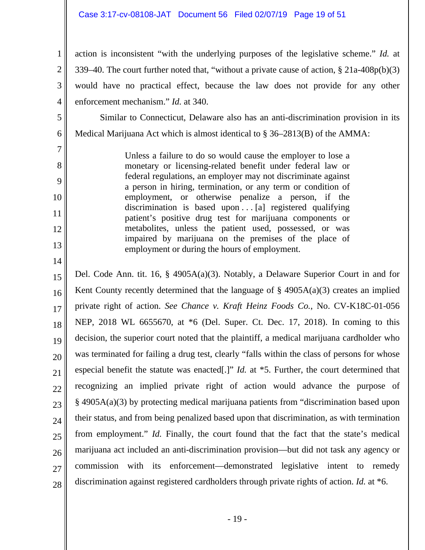### Case 3:17-cv-08108-JAT Document 56 Filed 02/07/19 Page 19 of 51

1

2

3

4

5

6

7

8

9

10

11

12

13

14

action is inconsistent "with the underlying purposes of the legislative scheme." *Id.* at 339–40. The court further noted that, "without a private cause of action, § 21a-408p(b)(3) would have no practical effect, because the law does not provide for any other enforcement mechanism." *Id.* at 340.

Similar to Connecticut, Delaware also has an anti-discrimination provision in its Medical Marijuana Act which is almost identical to § 36–2813(B) of the AMMA:

> Unless a failure to do so would cause the employer to lose a monetary or licensing-related benefit under federal law or federal regulations, an employer may not discriminate against a person in hiring, termination, or any term or condition of employment, or otherwise penalize a person, if the discrimination is based upon . . . [a] registered qualifying patient's positive drug test for marijuana components or metabolites, unless the patient used, possessed, or was impaired by marijuana on the premises of the place of employment or during the hours of employment.

15 16 17 18 19 20 21 22 23 24 25 26 27 28 Del. Code Ann. tit. 16, § 4905A(a)(3). Notably, a Delaware Superior Court in and for Kent County recently determined that the language of  $\S$  4905A(a)(3) creates an implied private right of action. *See Chance v. Kraft Heinz Foods Co.*, No. CV-K18C-01-056 NEP, 2018 WL 6655670, at \*6 (Del. Super. Ct. Dec. 17, 2018). In coming to this decision, the superior court noted that the plaintiff, a medical marijuana cardholder who was terminated for failing a drug test, clearly "falls within the class of persons for whose especial benefit the statute was enacted[.]" *Id.* at \*5. Further, the court determined that recognizing an implied private right of action would advance the purpose of § 4905A(a)(3) by protecting medical marijuana patients from "discrimination based upon their status, and from being penalized based upon that discrimination, as with termination from employment." *Id.* Finally, the court found that the fact that the state's medical marijuana act included an anti-discrimination provision—but did not task any agency or commission with its enforcement—demonstrated legislative intent to remedy discrimination against registered cardholders through private rights of action. *Id.* at \*6.

- 19 -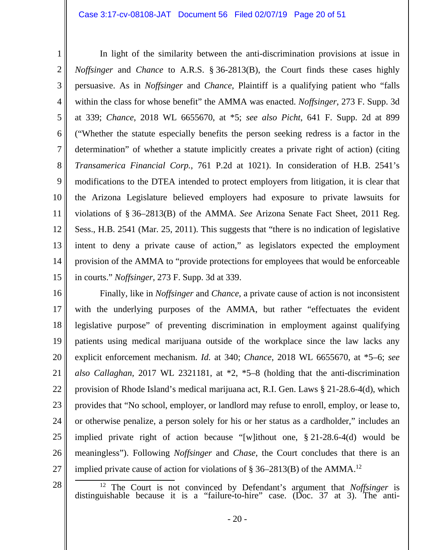In light of the similarity between the anti-discrimination provisions at issue in

*Noffsinger* and *Chance* to A.R.S. § 36-2813(B), the Court finds these cases highly

persuasive. As in *Noffsinger* and *Chance*, Plaintiff is a qualifying patient who "falls

within the class for whose benefit" the AMMA was enacted. *Noffsinger*, 273 F. Supp. 3d

at 339; *Chance*, 2018 WL 6655670, at \*5; *see also Picht*, 641 F. Supp. 2d at 899

("Whether the statute especially benefits the person seeking redress is a factor in the

determination" of whether a statute implicitly creates a private right of action) (citing

*Transamerica Financial Corp.*, 761 P.2d at 1021). In consideration of H.B. 2541's

modifications to the DTEA intended to protect employers from litigation, it is clear that

the Arizona Legislature believed employers had exposure to private lawsuits for

violations of § 36–2813(B) of the AMMA. *See* Arizona Senate Fact Sheet, 2011 Reg.

Sess., H.B. 2541 (Mar. 25, 2011). This suggests that "there is no indication of legislative

intent to deny a private cause of action," as legislators expected the employment

provision of the AMMA to "provide protections for employees that would be enforceable

in courts." *Noffsinger*, 273 F. Supp. 3d at 339.

10 11

12

- 13 14
- 

15

16 17 18 19 20 21 22 23 24 25 26 27 Finally, like in *Noffsinger* and *Chance*, a private cause of action is not inconsistent with the underlying purposes of the AMMA, but rather "effectuates the evident legislative purpose" of preventing discrimination in employment against qualifying patients using medical marijuana outside of the workplace since the law lacks any explicit enforcement mechanism. *Id.* at 340; *Chance*, 2018 WL 6655670, at \*5–6; *see also Callaghan*, 2017 WL 2321181, at \*2, \*5–8 (holding that the anti-discrimination provision of Rhode Island's medical marijuana act, R.I. Gen. Laws § 21-28.6-4(d), which provides that "No school, employer, or landlord may refuse to enroll, employ, or lease to, or otherwise penalize, a person solely for his or her status as a cardholder," includes an implied private right of action because "[w]ithout one, § 21-28.6-4(d) would be meaningless"). Following *Noffsinger* and *Chase*, the Court concludes that there is an implied private cause of action for violations of  $\S 36-2813(B)$  of the AMMA.<sup>12</sup>

28

<sup>12</sup> The Court is not convinced by Defendant's argument that *Noffsinger* is distinguishable because it is a "failure-to-hire" case. (Doc. 37 at 3). The anti-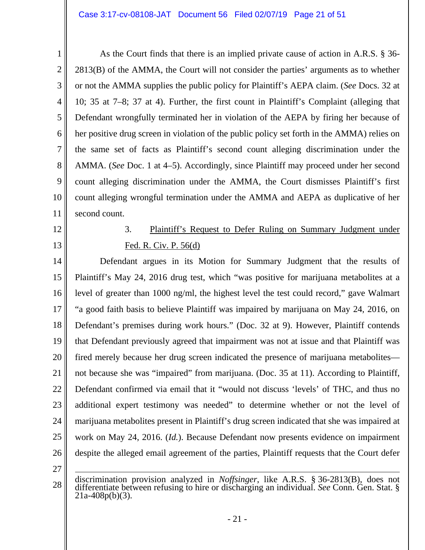| $\mathbf 1$    | As the Court finds that there is an implied private cause of action in A.R.S. § 36-                                                                                                        |
|----------------|--------------------------------------------------------------------------------------------------------------------------------------------------------------------------------------------|
| $\overline{2}$ | $2813(B)$ of the AMMA, the Court will not consider the parties' arguments as to whether                                                                                                    |
| 3              | or not the AMMA supplies the public policy for Plaintiff's AEPA claim. (See Docs. 32 at                                                                                                    |
| $\overline{4}$ | 10; 35 at 7–8; 37 at 4). Further, the first count in Plaintiff's Complaint (alleging that                                                                                                  |
| 5              | Defendant wrongfully terminated her in violation of the AEPA by firing her because of                                                                                                      |
| 6              | her positive drug screen in violation of the public policy set forth in the AMMA) relies on                                                                                                |
| $\overline{7}$ | the same set of facts as Plaintiff's second count alleging discrimination under the                                                                                                        |
| 8              | AMMA. (See Doc. 1 at 4–5). Accordingly, since Plaintiff may proceed under her second                                                                                                       |
| 9              | count alleging discrimination under the AMMA, the Court dismisses Plaintiff's first                                                                                                        |
| 10             | count alleging wrongful termination under the AMMA and AEPA as duplicative of her                                                                                                          |
| 11             | second count.                                                                                                                                                                              |
| 12             | Plaintiff's Request to Defer Ruling on Summary Judgment under<br>3.                                                                                                                        |
| 13             | Fed. R. Civ. P. 56(d)                                                                                                                                                                      |
| 14             | Defendant argues in its Motion for Summary Judgment that the results of                                                                                                                    |
| 15             | Plaintiff's May 24, 2016 drug test, which "was positive for marijuana metabolites at a                                                                                                     |
| 16             | level of greater than 1000 ng/ml, the highest level the test could record," gave Walmart                                                                                                   |
| 17             | "a good faith basis to believe Plaintiff was impaired by marijuana on May 24, 2016, on                                                                                                     |
| 18             | Defendant's premises during work hours." (Doc. 32 at 9). However, Plaintiff contends                                                                                                       |
| 19             | that Defendant previously agreed that impairment was not at issue and that Plaintiff was                                                                                                   |
| 20             | fired merely because her drug screen indicated the presence of marijuana metabolites—                                                                                                      |
| 21             | not because she was "impaired" from marijuana. (Doc. 35 at 11). According to Plaintiff,                                                                                                    |
| 22             | Defendant confirmed via email that it "would not discuss 'levels' of THC, and thus no                                                                                                      |
| 23             | additional expert testimony was needed" to determine whether or not the level of                                                                                                           |
| 24             | marijuana metabolites present in Plaintiff's drug screen indicated that she was impaired at                                                                                                |
| 25             | work on May 24, 2016. ( <i>Id.</i> ). Because Defendant now presents evidence on impairment                                                                                                |
| 26             | despite the alleged email agreement of the parties, Plaintiff requests that the Court defer                                                                                                |
| 27             |                                                                                                                                                                                            |
| 28             | discrimination provision analyzed in <i>Noffsinger</i> , like A.R.S. § 36-2813(B), does not<br>differentiate between refusing to hire or discharging an individual. See Conn. Gen. Stat. § |

 $21a-408p(b)(3)$ .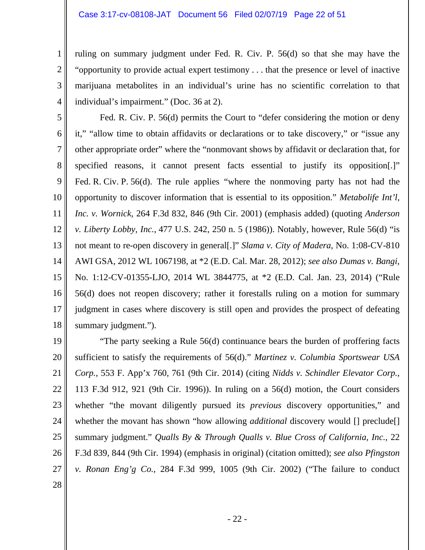ruling on summary judgment under Fed. R. Civ. P. 56(d) so that she may have the "opportunity to provide actual expert testimony . . . that the presence or level of inactive marijuana metabolites in an individual's urine has no scientific correlation to that individual's impairment." (Doc. 36 at 2).

5 6 7 8 9 10 11 12 13 14 15 16 17 18 Fed. R. Civ. P. 56(d) permits the Court to "defer considering the motion or deny it," "allow time to obtain affidavits or declarations or to take discovery," or "issue any other appropriate order" where the "nonmovant shows by affidavit or declaration that, for specified reasons, it cannot present facts essential to justify its opposition[.]" Fed. R. Civ. P. 56(d). The rule applies "where the nonmoving party has not had the opportunity to discover information that is essential to its opposition." *Metabolife Int'l, Inc. v. Wornick*, 264 F.3d 832, 846 (9th Cir. 2001) (emphasis added) (quoting *Anderson v. Liberty Lobby, Inc.*, 477 U.S. 242, 250 n. 5 (1986)). Notably, however, Rule 56(d) "is not meant to re-open discovery in general[.]" *Slama v. City of Madera*, No. 1:08-CV-810 AWI GSA, 2012 WL 1067198, at \*2 (E.D. Cal. Mar. 28, 2012); *see also Dumas v. Bangi*, No. 1:12-CV-01355-LJO, 2014 WL 3844775, at \*2 (E.D. Cal. Jan. 23, 2014) ("Rule 56(d) does not reopen discovery; rather it forestalls ruling on a motion for summary judgment in cases where discovery is still open and provides the prospect of defeating summary judgment.").

19 20 21 22 23 24 25 26 27 "The party seeking a Rule 56(d) continuance bears the burden of proffering facts sufficient to satisfy the requirements of 56(d)." *Martinez v. Columbia Sportswear USA Corp.*, 553 F. App'x 760, 761 (9th Cir. 2014) (citing *Nidds v. Schindler Elevator Corp.*, 113 F.3d 912, 921 (9th Cir. 1996)). In ruling on a 56(d) motion, the Court considers whether "the movant diligently pursued its *previous* discovery opportunities," and whether the movant has shown "how allowing *additional* discovery would [] preclude[] summary judgment." *Qualls By & Through Qualls v. Blue Cross of California, Inc.*, 22 F.3d 839, 844 (9th Cir. 1994) (emphasis in original) (citation omitted); *see also Pfingston v. Ronan Eng'g Co.*, 284 F.3d 999, 1005 (9th Cir. 2002) ("The failure to conduct

28

1

2

3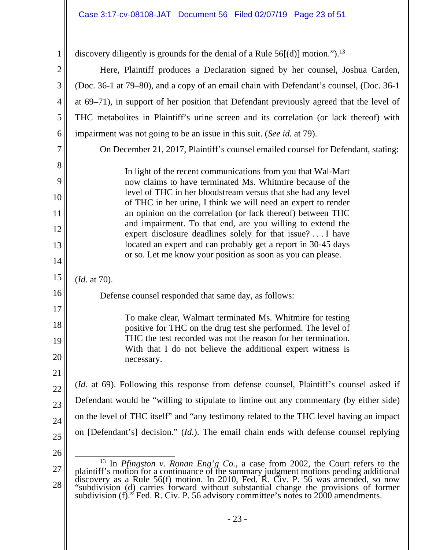| $\mathbf{1}$   | discovery diligently is grounds for the denial of a Rule $56[(d)]$ motion."). <sup>13</sup>                                                                                                |  |  |
|----------------|--------------------------------------------------------------------------------------------------------------------------------------------------------------------------------------------|--|--|
| $\overline{2}$ | Here, Plaintiff produces a Declaration signed by her counsel, Joshua Carden,                                                                                                               |  |  |
| 3              | (Doc. 36-1 at 79–80), and a copy of an email chain with Defendant's counsel, (Doc. 36-1)                                                                                                   |  |  |
| $\overline{4}$ | at 69–71), in support of her position that Defendant previously agreed that the level of                                                                                                   |  |  |
| 5              | THC metabolites in Plaintiff's urine screen and its correlation (or lack thereof) with                                                                                                     |  |  |
| 6              | impairment was not going to be an issue in this suit. (See id. at 79).                                                                                                                     |  |  |
| $\overline{7}$ | On December 21, 2017, Plaintiff's counsel emailed counsel for Defendant, stating:                                                                                                          |  |  |
| 8              | In light of the recent communications from you that Wal-Mart                                                                                                                               |  |  |
| 9              | now claims to have terminated Ms. Whitmire because of the                                                                                                                                  |  |  |
| 10             | level of THC in her bloodstream versus that she had any level<br>of THC in her urine, I think we will need an expert to render                                                             |  |  |
| 11             | an opinion on the correlation (or lack thereof) between THC                                                                                                                                |  |  |
| 12             | and impairment. To that end, are you willing to extend the<br>expert disclosure deadlines solely for that issue? I have                                                                    |  |  |
| 13             | located an expert and can probably get a report in 30-45 days                                                                                                                              |  |  |
| 14             | or so. Let me know your position as soon as you can please.                                                                                                                                |  |  |
| 15             | ( <i>Id.</i> at 70).                                                                                                                                                                       |  |  |
| 16             | Defense counsel responded that same day, as follows:                                                                                                                                       |  |  |
| 17             | To make clear, Walmart terminated Ms. Whitmire for testing                                                                                                                                 |  |  |
| 18             | positive for THC on the drug test she performed. The level of                                                                                                                              |  |  |
| 19             | THC the test recorded was not the reason for her termination.<br>With that I do not believe the additional expert witness is                                                               |  |  |
| 20             | necessary.                                                                                                                                                                                 |  |  |
| 21             |                                                                                                                                                                                            |  |  |
| 22             | <i>(Id. at 69).</i> Following this response from defense counsel, Plaintiff's counsel asked if                                                                                             |  |  |
| 23             | Defendant would be "willing to stipulate to limine out any commentary (by either side)                                                                                                     |  |  |
| 24             | on the level of THC itself" and "any testimony related to the THC level having an impact<br>on [Defendant's] decision." ( <i>Id.</i> ). The email chain ends with defense counsel replying |  |  |
| 25             |                                                                                                                                                                                            |  |  |
| 26             | <sup>13</sup> In <i>Pfingston v. Ronan Eng'g Co.</i> , a case from 2002, the Court refers to the                                                                                           |  |  |
| 27             | plaintiff's motion for a continuance of the summary judgment motions pending additional<br>discovery as a Rule 56(f) motion. In 2010, Fed. R. Civ. P. 56 was amended, so now               |  |  |
| 28             | "subdivision (d) carries forward without substantial change the provisions of former<br>subdivision $(f)$ ." Fed. R. Civ. P. 56 advisory committee's notes to 2000 amendments.             |  |  |
|                |                                                                                                                                                                                            |  |  |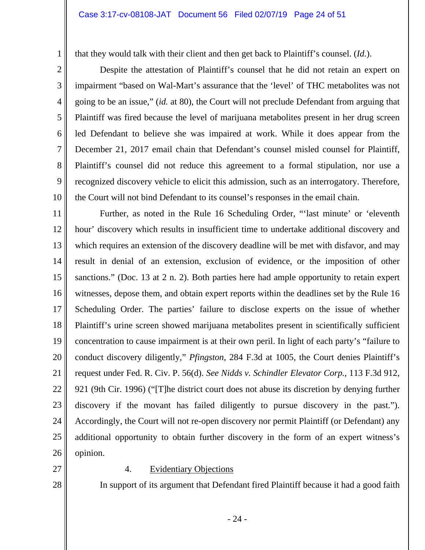#### Case 3:17-cv-08108-JAT Document 56 Filed 02/07/19 Page 24 of 51

that they would talk with their client and then get back to Plaintiff's counsel. (*Id.*).

 Despite the attestation of Plaintiff's counsel that he did not retain an expert on impairment "based on Wal-Mart's assurance that the 'level' of THC metabolites was not going to be an issue," (*id.* at 80), the Court will not preclude Defendant from arguing that Plaintiff was fired because the level of marijuana metabolites present in her drug screen led Defendant to believe she was impaired at work. While it does appear from the December 21, 2017 email chain that Defendant's counsel misled counsel for Plaintiff, Plaintiff's counsel did not reduce this agreement to a formal stipulation, nor use a recognized discovery vehicle to elicit this admission, such as an interrogatory. Therefore, the Court will not bind Defendant to its counsel's responses in the email chain.

11 12 13 14 15 16 17 18 19 20 21 22 23 24 25 26 Further, as noted in the Rule 16 Scheduling Order, "'last minute' or 'eleventh hour' discovery which results in insufficient time to undertake additional discovery and which requires an extension of the discovery deadline will be met with disfavor, and may result in denial of an extension, exclusion of evidence, or the imposition of other sanctions." (Doc. 13 at 2 n. 2). Both parties here had ample opportunity to retain expert witnesses, depose them, and obtain expert reports within the deadlines set by the Rule 16 Scheduling Order. The parties' failure to disclose experts on the issue of whether Plaintiff's urine screen showed marijuana metabolites present in scientifically sufficient concentration to cause impairment is at their own peril. In light of each party's "failure to conduct discovery diligently," *Pfingston*, 284 F.3d at 1005, the Court denies Plaintiff's request under Fed. R. Civ. P. 56(d). *See Nidds v. Schindler Elevator Corp.*, 113 F.3d 912, 921 (9th Cir. 1996) ("[T]he district court does not abuse its discretion by denying further discovery if the movant has failed diligently to pursue discovery in the past."). Accordingly, the Court will not re-open discovery nor permit Plaintiff (or Defendant) any additional opportunity to obtain further discovery in the form of an expert witness's opinion.

27

28

1

2

3

4

5

6

7

8

9

10

#### 4. Evidentiary Objections

In support of its argument that Defendant fired Plaintiff because it had a good faith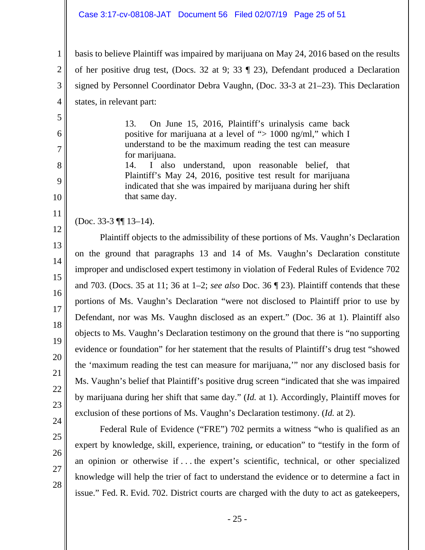#### Case 3:17-cv-08108-JAT Document 56 Filed 02/07/19 Page 25 of 51

basis to believe Plaintiff was impaired by marijuana on May 24, 2016 based on the results of her positive drug test, (Docs. 32 at 9; 33 ¶ 23), Defendant produced a Declaration signed by Personnel Coordinator Debra Vaughn, (Doc. 33-3 at 21–23). This Declaration states, in relevant part:

> 13. On June 15, 2016, Plaintiff's urinalysis came back positive for marijuana at a level of "> 1000 ng/ml," which I understand to be the maximum reading the test can measure for marijuana. 14. I also understand, upon reasonable belief, that

Plaintiff's May 24, 2016, positive test result for marijuana indicated that she was impaired by marijuana during her shift that same day.

(Doc. 33-3 ¶¶ 13–14).

 Plaintiff objects to the admissibility of these portions of Ms. Vaughn's Declaration on the ground that paragraphs 13 and 14 of Ms. Vaughn's Declaration constitute improper and undisclosed expert testimony in violation of Federal Rules of Evidence 702 and 703. (Docs. 35 at 11; 36 at 1–2; *see also* Doc. 36 ¶ 23). Plaintiff contends that these portions of Ms. Vaughn's Declaration "were not disclosed to Plaintiff prior to use by Defendant, nor was Ms. Vaughn disclosed as an expert." (Doc. 36 at 1). Plaintiff also objects to Ms. Vaughn's Declaration testimony on the ground that there is "no supporting evidence or foundation" for her statement that the results of Plaintiff's drug test "showed the 'maximum reading the test can measure for marijuana,'" nor any disclosed basis for Ms. Vaughn's belief that Plaintiff's positive drug screen "indicated that she was impaired by marijuana during her shift that same day." (*Id.* at 1). Accordingly, Plaintiff moves for exclusion of these portions of Ms. Vaughn's Declaration testimony. (*Id.* at 2).

28

1

2

3

4

5

6

7

8

9

10

11

12

13

14

15

16

17

18

19

20

21

22

23

 Federal Rule of Evidence ("FRE") 702 permits a witness "who is qualified as an expert by knowledge, skill, experience, training, or education" to "testify in the form of an opinion or otherwise if . . . the expert's scientific, technical, or other specialized knowledge will help the trier of fact to understand the evidence or to determine a fact in issue." Fed. R. Evid. 702. District courts are charged with the duty to act as gatekeepers,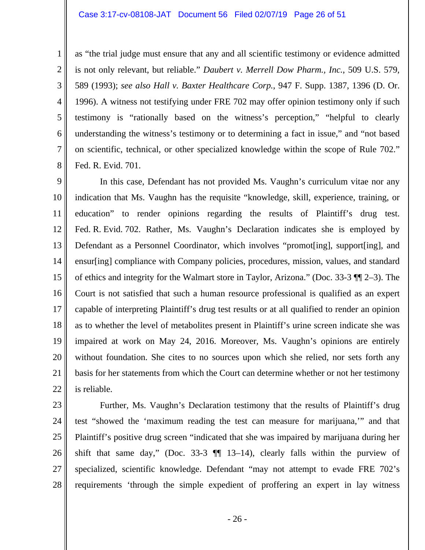#### Case 3:17-cv-08108-JAT Document 56 Filed 02/07/19 Page 26 of 51

1

2

3

4

5

6

7

8

as "the trial judge must ensure that any and all scientific testimony or evidence admitted is not only relevant, but reliable." *Daubert v. Merrell Dow Pharm., Inc.*, 509 U.S. 579, 589 (1993); *see also Hall v. Baxter Healthcare Corp.*, 947 F. Supp. 1387, 1396 (D. Or. 1996). A witness not testifying under FRE 702 may offer opinion testimony only if such testimony is "rationally based on the witness's perception," "helpful to clearly understanding the witness's testimony or to determining a fact in issue," and "not based on scientific, technical, or other specialized knowledge within the scope of Rule 702." Fed. R. Evid. 701.

9 10 11 12 13 14 15 16 17 18 19 20 21 22 In this case, Defendant has not provided Ms. Vaughn's curriculum vitae nor any indication that Ms. Vaughn has the requisite "knowledge, skill, experience, training, or education" to render opinions regarding the results of Plaintiff's drug test. Fed. R. Evid. 702. Rather, Ms. Vaughn's Declaration indicates she is employed by Defendant as a Personnel Coordinator, which involves "promot[ing], support[ing], and ensur[ing] compliance with Company policies, procedures, mission, values, and standard of ethics and integrity for the Walmart store in Taylor, Arizona." (Doc. 33-3 ¶¶ 2–3). The Court is not satisfied that such a human resource professional is qualified as an expert capable of interpreting Plaintiff's drug test results or at all qualified to render an opinion as to whether the level of metabolites present in Plaintiff's urine screen indicate she was impaired at work on May 24, 2016. Moreover, Ms. Vaughn's opinions are entirely without foundation. She cites to no sources upon which she relied, nor sets forth any basis for her statements from which the Court can determine whether or not her testimony is reliable.

23 24 25 26 27 28 Further, Ms. Vaughn's Declaration testimony that the results of Plaintiff's drug test "showed the 'maximum reading the test can measure for marijuana,'" and that Plaintiff's positive drug screen "indicated that she was impaired by marijuana during her shift that same day," (Doc. 33-3  $\P$  13–14), clearly falls within the purview of specialized, scientific knowledge. Defendant "may not attempt to evade FRE 702's requirements 'through the simple expedient of proffering an expert in lay witness

- 26 -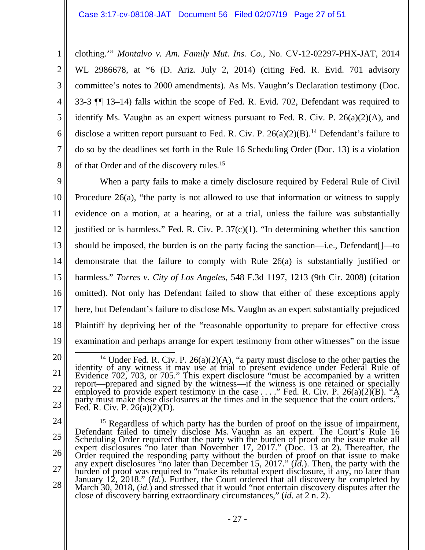clothing.'" *Montalvo v. Am. Family Mut. Ins. Co.*, No. CV-12-02297-PHX-JAT, 2014 WL 2986678, at \*6 (D. Ariz. July 2, 2014) (citing Fed. R. Evid. 701 advisory committee's notes to 2000 amendments). As Ms. Vaughn's Declaration testimony (Doc. 33-3 ¶¶ 13–14) falls within the scope of Fed. R. Evid. 702, Defendant was required to identify Ms. Vaughn as an expert witness pursuant to Fed. R. Civ. P. 26(a)(2)(A), and disclose a written report pursuant to Fed. R. Civ. P.  $26(a)(2)(B)$ .<sup>14</sup> Defendant's failure to do so by the deadlines set forth in the Rule 16 Scheduling Order (Doc. 13) is a violation of that Order and of the discovery rules.<sup>15</sup>

9 10 11 12 13 14 15 16 17 18 19 When a party fails to make a timely disclosure required by Federal Rule of Civil Procedure 26(a), "the party is not allowed to use that information or witness to supply evidence on a motion, at a hearing, or at a trial, unless the failure was substantially justified or is harmless." Fed. R. Civ. P.  $37(c)(1)$ . "In determining whether this sanction should be imposed, the burden is on the party facing the sanction—i.e., Defendant[]—to demonstrate that the failure to comply with Rule 26(a) is substantially justified or harmless." *Torres v. City of Los Angeles*, 548 F.3d 1197, 1213 (9th Cir. 2008) (citation omitted). Not only has Defendant failed to show that either of these exceptions apply here, but Defendant's failure to disclose Ms. Vaughn as an expert substantially prejudiced Plaintiff by depriving her of the "reasonable opportunity to prepare for effective cross examination and perhaps arrange for expert testimony from other witnesses" on the issue

20

1

2

3

4

5

6

7

8

24

25 26 27 28 <sup>15</sup> Regardless of which party has the burden of proof on the issue of impairment,<br>Defendant failed to timely disclose Ms. Vaughn as an expert. The Court's Rule 16<br>Scheduling Order required that the party with the burden burden of proof was required to "make its rebuttal expert disclosure, if any, no later than<br>January 12, 2018." (*Id.*). Further, the Court ordered that all discovery be completed by<br>March 30, 2018, (*id.*) and stressed th

<sup>21</sup>  22 23 <sup>14</sup> Under Fed. R. Civ. P. 26(a)(2)(A), "a party must disclose to the other parties the identity of any witness it may use at trial to present evidence under Federal Rule of Evidence 702, 703, or 705." This expert disclos Evidence 702, 703, or 705." This expert disclosure "must be accompanied by a written report—prepared and signed by the witness—if the witness is one retained or specially employed to provide expert testimony in the case . party must make these disclosures at the times and in the sequence that the court orders." Fed. R. Civ. P. 26(a)(2)(D).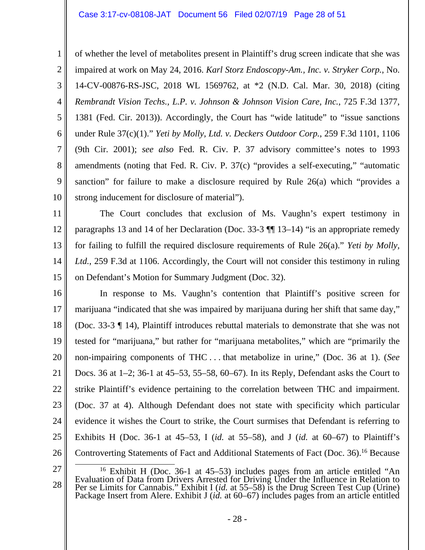1

2

3

4

5

6

7

8

9

10

of whether the level of metabolites present in Plaintiff's drug screen indicate that she was impaired at work on May 24, 2016. *Karl Storz Endoscopy-Am., Inc. v. Stryker Corp.*, No. 14-CV-00876-RS-JSC, 2018 WL 1569762, at \*2 (N.D. Cal. Mar. 30, 2018) (citing *Rembrandt Vision Techs., L.P. v. Johnson & Johnson Vision Care, Inc.*, 725 F.3d 1377, 1381 (Fed. Cir. 2013)). Accordingly, the Court has "wide latitude" to "issue sanctions under Rule 37(c)(1)." *Yeti by Molly, Ltd. v. Deckers Outdoor Corp.*, 259 F.3d 1101, 1106 (9th Cir. 2001); *see also* Fed. R. Civ. P. 37 advisory committee's notes to 1993 amendments (noting that Fed. R. Civ. P. 37(c) "provides a self-executing," "automatic sanction" for failure to make a disclosure required by Rule 26(a) which "provides a strong inducement for disclosure of material").

11 12 13 14 15 The Court concludes that exclusion of Ms. Vaughn's expert testimony in paragraphs 13 and 14 of her Declaration (Doc. 33-3 ¶¶ 13–14) "is an appropriate remedy for failing to fulfill the required disclosure requirements of Rule 26(a)." *Yeti by Molly, Ltd.*, 259 F.3d at 1106. Accordingly, the Court will not consider this testimony in ruling on Defendant's Motion for Summary Judgment (Doc. 32).

16 17 18 19 20 21 22 23 24 25 26 In response to Ms. Vaughn's contention that Plaintiff's positive screen for marijuana "indicated that she was impaired by marijuana during her shift that same day," (Doc. 33-3 ¶ 14), Plaintiff introduces rebuttal materials to demonstrate that she was not tested for "marijuana," but rather for "marijuana metabolites," which are "primarily the non-impairing components of THC . . . that metabolize in urine," (Doc. 36 at 1). (*See* Docs. 36 at 1–2; 36-1 at 45–53, 55–58, 60–67). In its Reply, Defendant asks the Court to strike Plaintiff's evidence pertaining to the correlation between THC and impairment. (Doc. 37 at 4). Although Defendant does not state with specificity which particular evidence it wishes the Court to strike, the Court surmises that Defendant is referring to Exhibits H (Doc. 36-1 at 45–53, I (*id.* at 55–58), and J (*id.* at 60–67) to Plaintiff's Controverting Statements of Fact and Additional Statements of Fact (Doc. 36).16 Because

<sup>27</sup>  28 <sup>16</sup> Exhibit H (Doc. 36-1 at 45–53) includes pages from an article entitled "An Evaluation of Data from Drivers Arrested for Driving Under the Influence in Relation to Per se Limits for Cannabis." Exhibit I (*id.* at 55–58) is the Drug Screen Test Cup (Urine) Package Insert from Alere. Exhibit J (*id.* at 60–67) includes pages from an article entitled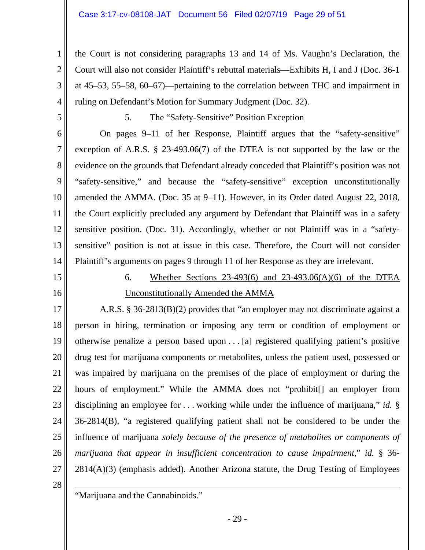the Court is not considering paragraphs 13 and 14 of Ms. Vaughn's Declaration, the Court will also not consider Plaintiff's rebuttal materials—Exhibits H, I and J (Doc. 36-1 at 45–53, 55–58, 60–67)—pertaining to the correlation between THC and impairment in ruling on Defendant's Motion for Summary Judgment (Doc. 32).

5

1

2

3

4

### 5. The "Safety-Sensitive" Position Exception

6 7 8 9 10 11 12 13 14 On pages 9–11 of her Response, Plaintiff argues that the "safety-sensitive" exception of A.R.S. § 23-493.06(7) of the DTEA is not supported by the law or the evidence on the grounds that Defendant already conceded that Plaintiff's position was not "safety-sensitive," and because the "safety-sensitive" exception unconstitutionally amended the AMMA. (Doc. 35 at 9–11). However, in its Order dated August 22, 2018, the Court explicitly precluded any argument by Defendant that Plaintiff was in a safety sensitive position. (Doc. 31). Accordingly, whether or not Plaintiff was in a "safetysensitive" position is not at issue in this case. Therefore, the Court will not consider Plaintiff's arguments on pages 9 through 11 of her Response as they are irrelevant.

15

16

# 6. Whether Sections 23-493(6) and 23-493.06(A)(6) of the DTEA Unconstitutionally Amended the AMMA

17 18 19 20 21 22 23 24 25 26 27 A.R.S. § 36-2813(B)(2) provides that "an employer may not discriminate against a person in hiring, termination or imposing any term or condition of employment or otherwise penalize a person based upon . . . [a] registered qualifying patient's positive drug test for marijuana components or metabolites, unless the patient used, possessed or was impaired by marijuana on the premises of the place of employment or during the hours of employment." While the AMMA does not "prohibit<sup>[]</sup> an employer from disciplining an employee for . . . working while under the influence of marijuana," *id.* § 36-2814(B), "a registered qualifying patient shall not be considered to be under the influence of marijuana *solely because of the presence of metabolites or components of marijuana that appear in insufficient concentration to cause impairment*," *id.* § 36-  $2814(A)(3)$  (emphasis added). Another Arizona statute, the Drug Testing of Employees

28

 $\overline{a}$ 

"Marijuana and the Cannabinoids."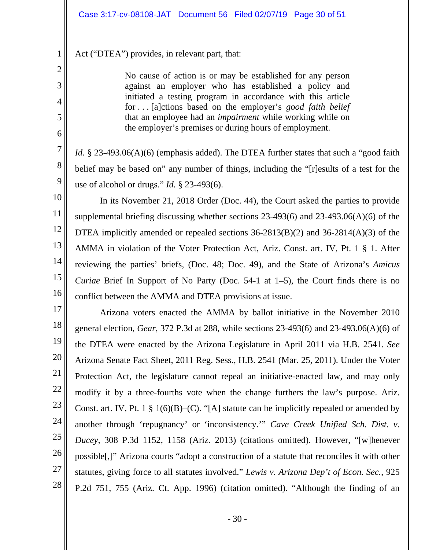Act ("DTEA") provides, in relevant part, that:

1

2

3

4

5

6

7

8

9

10

11

12

13

14

15

16

No cause of action is or may be established for any person against an employer who has established a policy and initiated a testing program in accordance with this article for . . . [a]ctions based on the employer's *good faith belief* that an employee had an *impairment* while working while on the employer's premises or during hours of employment.

*Id.* § 23-493.06(A)(6) (emphasis added). The DTEA further states that such a "good faith belief may be based on" any number of things, including the "[r]esults of a test for the use of alcohol or drugs." *Id.* § 23-493(6).

 In its November 21, 2018 Order (Doc. 44), the Court asked the parties to provide supplemental briefing discussing whether sections 23-493(6) and 23-493.06(A)(6) of the DTEA implicitly amended or repealed sections 36-2813(B)(2) and 36-2814(A)(3) of the AMMA in violation of the Voter Protection Act, Ariz. Const. art. IV, Pt. 1 § 1. After reviewing the parties' briefs, (Doc. 48; Doc. 49), and the State of Arizona's *Amicus Curiae* Brief In Support of No Party (Doc. 54-1 at 1–5), the Court finds there is no conflict between the AMMA and DTEA provisions at issue.

17 18 19 20 21 22 23 24 25 26 27 28 Arizona voters enacted the AMMA by ballot initiative in the November 2010 general election, *Gear*, 372 P.3d at 288, while sections 23-493(6) and 23-493.06(A)(6) of the DTEA were enacted by the Arizona Legislature in April 2011 via H.B. 2541. *See* Arizona Senate Fact Sheet, 2011 Reg. Sess., H.B. 2541 (Mar. 25, 2011). Under the Voter Protection Act, the legislature cannot repeal an initiative-enacted law, and may only modify it by a three-fourths vote when the change furthers the law's purpose. Ariz. Const. art. IV, Pt. 1  $\S 1(6)(B)$ –(C). "[A] statute can be implicitly repealed or amended by another through 'repugnancy' or 'inconsistency.'" *Cave Creek Unified Sch. Dist. v. Ducey*, 308 P.3d 1152, 1158 (Ariz. 2013) (citations omitted). However, "[w]henever possible[,]" Arizona courts "adopt a construction of a statute that reconciles it with other statutes, giving force to all statutes involved." *Lewis v. Arizona Dep't of Econ. Sec.*, 925 P.2d 751, 755 (Ariz. Ct. App. 1996) (citation omitted). "Although the finding of an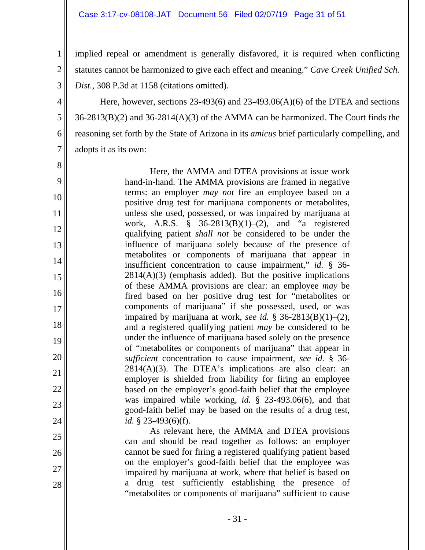1

2

3

4

5

6

7

8

9

10

11

12

13

14

15

16

17

18

19

20

21

22

23

24

25

26

27

28

implied repeal or amendment is generally disfavored, it is required when conflicting statutes cannot be harmonized to give each effect and meaning." *Cave Creek Unified Sch. Dist.*, 308 P.3d at 1158 (citations omitted).

Here, however, sections 23-493(6) and 23-493.06(A)(6) of the DTEA and sections 36-2813(B)(2) and 36-2814(A)(3) of the AMMA can be harmonized. The Court finds the reasoning set forth by the State of Arizona in its *amicus* brief particularly compelling, and adopts it as its own:

Here, the AMMA and DTEA provisions at issue work hand-in-hand. The AMMA provisions are framed in negative terms: an employer *may not* fire an employee based on a positive drug test for marijuana components or metabolites, unless she used, possessed, or was impaired by marijuana at work, A.R.S. § 36-2813(B)(1)–(2), and "a registered qualifying patient *shall not* be considered to be under the influence of marijuana solely because of the presence of metabolites or components of marijuana that appear in insufficient concentration to cause impairment," *id.* § 36-  $2814(A)(3)$  (emphasis added). But the positive implications of these AMMA provisions are clear: an employee *may* be fired based on her positive drug test for "metabolites or components of marijuana" if she possessed, used, or was impaired by marijuana at work, *see id.* § 36-2813(B)(1)–(2), and a registered qualifying patient *may* be considered to be under the influence of marijuana based solely on the presence of "metabolites or components of marijuana" that appear in *sufficient* concentration to cause impairment, *see id.* § 36-  $2814(A)(3)$ . The DTEA's implications are also clear: an employer is shielded from liability for firing an employee based on the employer's good-faith belief that the employee was impaired while working, *id.* § 23-493.06(6), and that good-faith belief may be based on the results of a drug test, *id.* § 23-493(6)(f).

As relevant here, the AMMA and DTEA provisions can and should be read together as follows: an employer cannot be sued for firing a registered qualifying patient based on the employer's good-faith belief that the employee was impaired by marijuana at work, where that belief is based on a drug test sufficiently establishing the presence of "metabolites or components of marijuana" sufficient to cause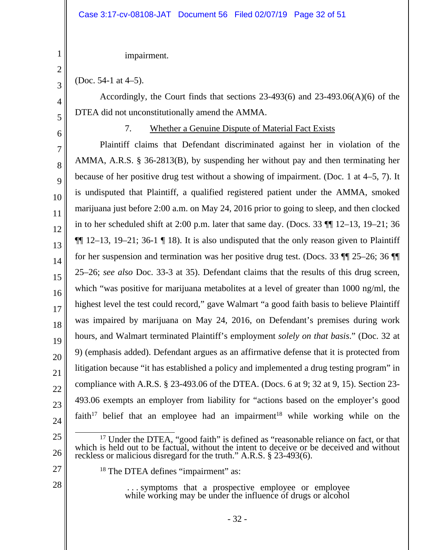### impairment.

(Doc. 54-1 at 4–5).

Accordingly, the Court finds that sections 23-493(6) and 23-493.06(A)(6) of the DTEA did not unconstitutionally amend the AMMA.

7. Whether a Genuine Dispute of Material Fact Exists

23 24 Plaintiff claims that Defendant discriminated against her in violation of the AMMA, A.R.S. § 36-2813(B), by suspending her without pay and then terminating her because of her positive drug test without a showing of impairment. (Doc. 1 at 4–5, 7). It is undisputed that Plaintiff, a qualified registered patient under the AMMA, smoked marijuana just before 2:00 a.m. on May 24, 2016 prior to going to sleep, and then clocked in to her scheduled shift at 2:00 p.m. later that same day. (Docs. 33 ¶¶ 12–13, 19–21; 36  $\P$ [ 12–13, 19–21; 36-1 [ 18). It is also undisputed that the only reason given to Plaintiff for her suspension and termination was her positive drug test. (Docs. 33 ¶¶ 25–26; 36 ¶¶ 25–26; *see also* Doc. 33-3 at 35). Defendant claims that the results of this drug screen, which "was positive for marijuana metabolites at a level of greater than 1000 ng/ml, the highest level the test could record," gave Walmart "a good faith basis to believe Plaintiff was impaired by marijuana on May 24, 2016, on Defendant's premises during work hours, and Walmart terminated Plaintiff's employment *solely on that basis*." (Doc. 32 at 9) (emphasis added). Defendant argues as an affirmative defense that it is protected from litigation because "it has established a policy and implemented a drug testing program" in compliance with A.R.S. § 23-493.06 of the DTEA. (Docs. 6 at 9; 32 at 9, 15). Section 23- 493.06 exempts an employer from liability for "actions based on the employer's good faith<sup>17</sup> belief that an employee had an impairment<sup>18</sup> while working while on the

- 25
- 
- 26
- 27

28

- reckless or malicious disregard for the truth." A.R.S. § 23-493(6). <sup>18</sup> The DTEA defines "impairment" as:
	- - . . . symptoms that a prospective employee or employee while working may be under the influence of drugs or alcohol

<sup>17</sup> Under the DTEA, "good faith" is defined as "reasonable reliance on fact, or that which is held out to be factual, without the intent to deceive or be deceived and without

1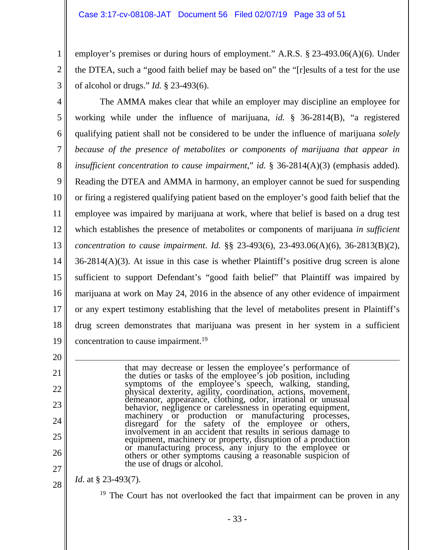employer's premises or during hours of employment." A.R.S. § 23-493.06(A)(6). Under the DTEA, such a "good faith belief may be based on" the "[r]esults of a test for the use of alcohol or drugs." *Id.* § 23-493(6).

3

20

21

22

23

24

25

26

27

1

2

4 5 6 7 8 9 10 11 12 13 14 15 16 17 18 19 The AMMA makes clear that while an employer may discipline an employee for working while under the influence of marijuana, *id.* § 36-2814(B), "a registered qualifying patient shall not be considered to be under the influence of marijuana *solely because of the presence of metabolites or components of marijuana that appear in insufficient concentration to cause impairment,*" *id.* § 36-2814(A)(3) (emphasis added). Reading the DTEA and AMMA in harmony, an employer cannot be sued for suspending or firing a registered qualifying patient based on the employer's good faith belief that the employee was impaired by marijuana at work, where that belief is based on a drug test which establishes the presence of metabolites or components of marijuana *in sufficient concentration to cause impairment*. *Id.* §§ 23-493(6), 23-493.06(A)(6), 36-2813(B)(2),  $36-2814(A)(3)$ . At issue in this case is whether Plaintiff's positive drug screen is alone sufficient to support Defendant's "good faith belief" that Plaintiff was impaired by marijuana at work on May 24, 2016 in the absence of any other evidence of impairment or any expert testimony establishing that the level of metabolites present in Plaintiff's drug screen demonstrates that marijuana was present in her system in a sufficient concentration to cause impairment.<sup>19</sup>

> that may decrease or lessen the employee's performance of the duties or tasks of the employee's job position, including symptoms of the employee's speech, walking, standing, physical dexterity, agility, coordination, actions, movement, demeanor, appearance, clothing, odor, irrational or unusual behavior, negligence or carelessness in operating equipment, machinery or production or manufacturing processes, disregard for the safety of the employee or others, involvement in an accident that results in serious damage to involvement in an accident that results in serious damage to equipment, machinery or property, disruption of a production or manufacturing process, any injury to the employee or others or other symptoms causing a reasonable suspicion of the use of drugs or alcohol.

28 *Id.* at § 23-493(7).

<sup>19</sup> The Court has not overlooked the fact that impairment can be proven in any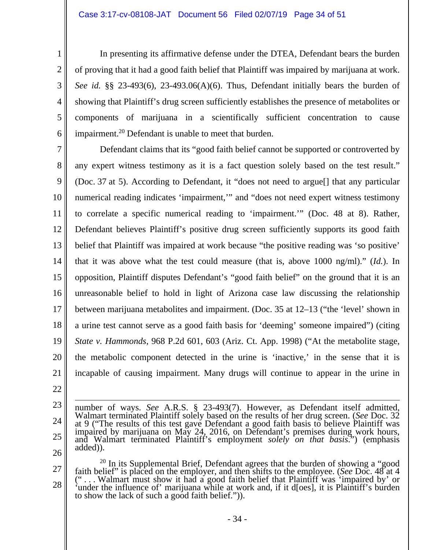In presenting its affirmative defense under the DTEA, Defendant bears the burden of proving that it had a good faith belief that Plaintiff was impaired by marijuana at work. *See id.* §§ 23-493(6), 23-493.06(A)(6). Thus, Defendant initially bears the burden of showing that Plaintiff's drug screen sufficiently establishes the presence of metabolites or components of marijuana in a scientifically sufficient concentration to cause impairment.20 Defendant is unable to meet that burden.

7 8 9 10 11 12 13 14 15 16 17 18 19 20 21 Defendant claims that its "good faith belief cannot be supported or controverted by any expert witness testimony as it is a fact question solely based on the test result." (Doc. 37 at 5). According to Defendant, it "does not need to argue[] that any particular numerical reading indicates 'impairment,'" and "does not need expert witness testimony to correlate a specific numerical reading to 'impairment.'" (Doc. 48 at 8). Rather, Defendant believes Plaintiff's positive drug screen sufficiently supports its good faith belief that Plaintiff was impaired at work because "the positive reading was 'so positive' that it was above what the test could measure (that is, above 1000 ng/ml)." (*Id.*). In opposition, Plaintiff disputes Defendant's "good faith belief" on the ground that it is an unreasonable belief to hold in light of Arizona case law discussing the relationship between marijuana metabolites and impairment. (Doc. 35 at 12–13 ("the 'level' shown in a urine test cannot serve as a good faith basis for 'deeming' someone impaired") (citing *State v. Hammonds*, 968 P.2d 601, 603 (Ariz. Ct. App. 1998) ("At the metabolite stage, the metabolic component detected in the urine is 'inactive,' in the sense that it is incapable of causing impairment. Many drugs will continue to appear in the urine in

22

1

2

3

4

5

6

- 23 24
- 25
- 26
- 

at 9 ("The results of this test gave Defendant a good faith basis to believe Plaintiff was<br>impaired by marijuana on May 24, 2016, on Defendant's premises during work hours,<br>and Walmart terminated Plaintiff's employment *so* <sup>20</sup> In its Supplemental Brief, Defendant agrees that the burden of showing a "good faith belief" is placed on the employer, and then shifts to the employee. (*See* Doc. 48 at 4

number of ways. *See* A.R.S. § 23-493(7). However, as Defendant itself admitted, Walmart terminated Plaintiff solely based on the results of her drug screen. (*See* Doc. 32

27 28 ("... Walmart must show it had a good faith belief that Plaintiff was 'impaired by' or 'under the influence of' marijuana while at work and, if it d[oes], it is Plaintiff's burden to show the lack of such a good faith belief.")).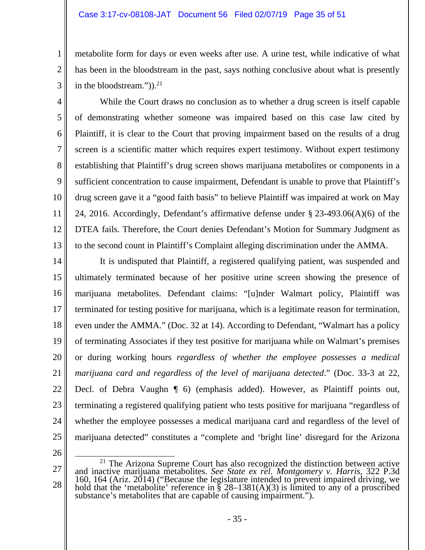### Case 3:17-cv-08108-JAT Document 56 Filed 02/07/19 Page 35 of 51

metabolite form for days or even weeks after use. A urine test, while indicative of what has been in the bloodstream in the past, says nothing conclusive about what is presently in the bloodstream." $)$ ).<sup>21</sup>

5 6 7 8 9 10 11 12 13 While the Court draws no conclusion as to whether a drug screen is itself capable of demonstrating whether someone was impaired based on this case law cited by Plaintiff, it is clear to the Court that proving impairment based on the results of a drug screen is a scientific matter which requires expert testimony. Without expert testimony establishing that Plaintiff's drug screen shows marijuana metabolites or components in a sufficient concentration to cause impairment, Defendant is unable to prove that Plaintiff's drug screen gave it a "good faith basis" to believe Plaintiff was impaired at work on May 24, 2016. Accordingly, Defendant's affirmative defense under § 23-493.06(A)(6) of the DTEA fails. Therefore, the Court denies Defendant's Motion for Summary Judgment as to the second count in Plaintiff's Complaint alleging discrimination under the AMMA.

14 15 16 17 18 19 20 21 22 23 24 25 It is undisputed that Plaintiff, a registered qualifying patient, was suspended and ultimately terminated because of her positive urine screen showing the presence of marijuana metabolites. Defendant claims: "[u]nder Walmart policy, Plaintiff was terminated for testing positive for marijuana, which is a legitimate reason for termination, even under the AMMA." (Doc. 32 at 14). According to Defendant, "Walmart has a policy of terminating Associates if they test positive for marijuana while on Walmart's premises or during working hours *regardless of whether the employee possesses a medical marijuana card and regardless of the level of marijuana detected*." (Doc. 33-3 at 22, Decl. of Debra Vaughn ¶ 6) (emphasis added). However, as Plaintiff points out, terminating a registered qualifying patient who tests positive for marijuana "regardless of whether the employee possesses a medical marijuana card and regardless of the level of marijuana detected" constitutes a "complete and 'bright line' disregard for the Arizona

26

27

28

1

2

3

<sup>&</sup>lt;sup>21</sup> The Arizona Supreme Court has also recognized the distinction between active and inactive marijuana metabolites. *See State ex rel. Montgomery v. Harris*, 322 P.3d 160, 164 (Ariz. 2014) ("Because the legislature intended to prevent impaired driving, we hold that the 'metabolite' reference in § 28–1381(A)(3) is limited to any of a proscribed substance's metabolites that are capable of causing impairment.").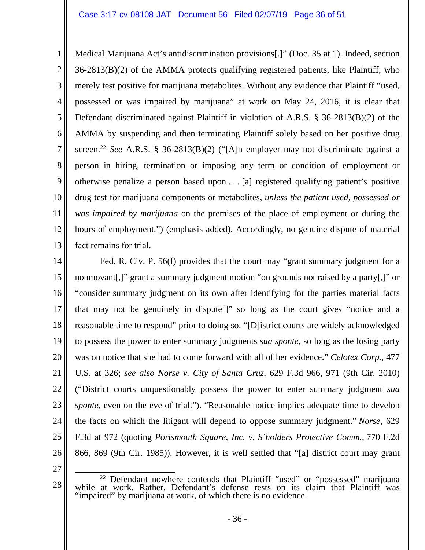1 2 3 4 5 6 7 8 9 10 11 12 13 Medical Marijuana Act's antidiscrimination provisions[.]" (Doc. 35 at 1). Indeed, section 36-2813(B)(2) of the AMMA protects qualifying registered patients, like Plaintiff, who merely test positive for marijuana metabolites. Without any evidence that Plaintiff "used, possessed or was impaired by marijuana" at work on May 24, 2016, it is clear that Defendant discriminated against Plaintiff in violation of A.R.S. § 36-2813(B)(2) of the AMMA by suspending and then terminating Plaintiff solely based on her positive drug screen.22 *See* A.R.S. § 36-2813(B)(2) ("[A]n employer may not discriminate against a person in hiring, termination or imposing any term or condition of employment or otherwise penalize a person based upon . . . [a] registered qualifying patient's positive drug test for marijuana components or metabolites, *unless the patient used, possessed or was impaired by marijuana* on the premises of the place of employment or during the hours of employment.") (emphasis added). Accordingly, no genuine dispute of material fact remains for trial.

14 15 16 17 18 19 20 21 22 23 24 25 26 Fed. R. Civ. P. 56(f) provides that the court may "grant summary judgment for a nonmovant[,]" grant a summary judgment motion "on grounds not raised by a party[,]" or "consider summary judgment on its own after identifying for the parties material facts that may not be genuinely in dispute[]" so long as the court gives "notice and a reasonable time to respond" prior to doing so. "[D]istrict courts are widely acknowledged to possess the power to enter summary judgments *sua sponte*, so long as the losing party was on notice that she had to come forward with all of her evidence." *Celotex Corp.*, 477 U.S. at 326; *see also Norse v. City of Santa Cruz*, 629 F.3d 966, 971 (9th Cir. 2010) ("District courts unquestionably possess the power to enter summary judgment *sua sponte*, even on the eve of trial."). "Reasonable notice implies adequate time to develop the facts on which the litigant will depend to oppose summary judgment." *Norse*, 629 F.3d at 972 (quoting *Portsmouth Square, Inc. v. S'holders Protective Comm.*, 770 F.2d 866, 869 (9th Cir. 1985)). However, it is well settled that "[a] district court may grant

<sup>28</sup>  <sup>22</sup> Defendant nowhere contends that Plaintiff "used" or "possessed" marijuana<br>while at work. Rather, Defendant's defense rests on its claim that Plaintiff was "impaired" by marijuana at work, of which there is no evidence.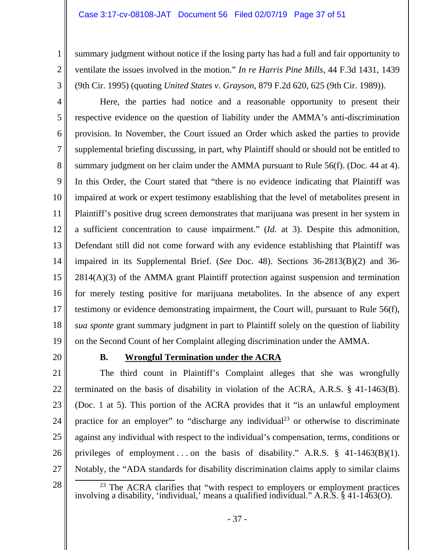#### Case 3:17-cv-08108-JAT Document 56 Filed 02/07/19 Page 37 of 51

summary judgment without notice if the losing party has had a full and fair opportunity to ventilate the issues involved in the motion." *In re Harris Pine Mills*, 44 F.3d 1431, 1439 (9th Cir. 1995) (quoting *United States v. Grayson*, 879 F.2d 620, 625 (9th Cir. 1989)).

4 5 6 7 8 9 10 11 12 13 14 15 16 17 18 19 Here, the parties had notice and a reasonable opportunity to present their respective evidence on the question of liability under the AMMA's anti-discrimination provision. In November, the Court issued an Order which asked the parties to provide supplemental briefing discussing, in part, why Plaintiff should or should not be entitled to summary judgment on her claim under the AMMA pursuant to Rule 56(f). (Doc. 44 at 4). In this Order, the Court stated that "there is no evidence indicating that Plaintiff was impaired at work or expert testimony establishing that the level of metabolites present in Plaintiff's positive drug screen demonstrates that marijuana was present in her system in a sufficient concentration to cause impairment." (*Id.* at 3). Despite this admonition, Defendant still did not come forward with any evidence establishing that Plaintiff was impaired in its Supplemental Brief. (*See* Doc. 48). Sections 36-2813(B)(2) and 36- 2814(A)(3) of the AMMA grant Plaintiff protection against suspension and termination for merely testing positive for marijuana metabolites. In the absence of any expert testimony or evidence demonstrating impairment, the Court will, pursuant to Rule 56(f), *sua sponte* grant summary judgment in part to Plaintiff solely on the question of liability on the Second Count of her Complaint alleging discrimination under the AMMA.

20

1

2

3

### **B. Wrongful Termination under the ACRA**

21 22 23 24 25 26 27 The third count in Plaintiff's Complaint alleges that she was wrongfully terminated on the basis of disability in violation of the ACRA, A.R.S. § 41-1463(B). (Doc. 1 at 5). This portion of the ACRA provides that it "is an unlawful employment practice for an employer" to "discharge any individual<sup>23</sup> or otherwise to discriminate against any individual with respect to the individual's compensation, terms, conditions or privileges of employment ... on the basis of disability." A.R.S.  $\S$  41-1463(B)(1). Notably, the "ADA standards for disability discrimination claims apply to similar claims

<sup>23</sup> The ACRA clarifies that "with respect to employers or employment practices involving a disability, 'individual,' means a qualified individual." A.R.S. § 41-1463(O).

<sup>28</sup>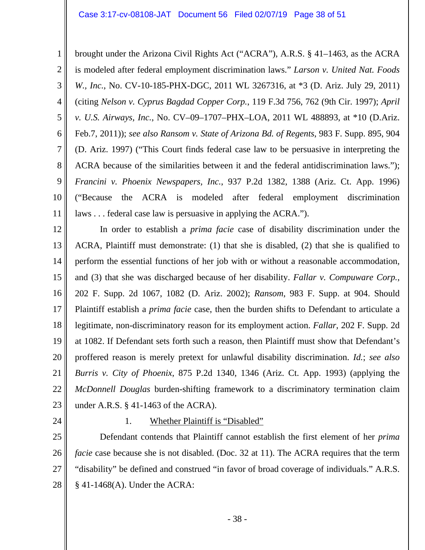1 2 3 4 5 6 7 8 9 10 11 brought under the Arizona Civil Rights Act ("ACRA"), A.R.S. § 41–1463, as the ACRA is modeled after federal employment discrimination laws." *Larson v. United Nat. Foods W., Inc.*, No. CV-10-185-PHX-DGC, 2011 WL 3267316, at \*3 (D. Ariz. July 29, 2011) (citing *Nelson v. Cyprus Bagdad Copper Corp.*, 119 F.3d 756, 762 (9th Cir. 1997); *April v. U.S. Airways, Inc.*, No. CV–09–1707–PHX–LOA, 2011 WL 488893, at \*10 (D.Ariz. Feb.7, 2011)); *see also Ransom v. State of Arizona Bd. of Regents*, 983 F. Supp. 895, 904 (D. Ariz. 1997) ("This Court finds federal case law to be persuasive in interpreting the ACRA because of the similarities between it and the federal antidiscrimination laws."); *Francini v. Phoenix Newspapers, Inc.*, 937 P.2d 1382, 1388 (Ariz. Ct. App. 1996) ("Because the ACRA is modeled after federal employment discrimination laws . . . federal case law is persuasive in applying the ACRA.").

12 13 14 15 16 17 18 19 20 21 22 23 In order to establish a *prima facie* case of disability discrimination under the ACRA, Plaintiff must demonstrate: (1) that she is disabled, (2) that she is qualified to perform the essential functions of her job with or without a reasonable accommodation, and (3) that she was discharged because of her disability. *Fallar v. Compuware Corp.*, 202 F. Supp. 2d 1067, 1082 (D. Ariz. 2002); *Ransom*, 983 F. Supp. at 904. Should Plaintiff establish a *prima facie* case, then the burden shifts to Defendant to articulate a legitimate, non-discriminatory reason for its employment action. *Fallar*, 202 F. Supp. 2d at 1082. If Defendant sets forth such a reason, then Plaintiff must show that Defendant's proffered reason is merely pretext for unlawful disability discrimination. *Id.*; *see also Burris v. City of Phoenix*, 875 P.2d 1340, 1346 (Ariz. Ct. App. 1993) (applying the *McDonnell Douglas* burden-shifting framework to a discriminatory termination claim under A.R.S. § 41-1463 of the ACRA).

24

### 1. Whether Plaintiff is "Disabled"

25 26 27 28 Defendant contends that Plaintiff cannot establish the first element of her *prima facie* case because she is not disabled. (Doc. 32 at 11). The ACRA requires that the term "disability" be defined and construed "in favor of broad coverage of individuals." A.R.S. § 41-1468(A). Under the ACRA: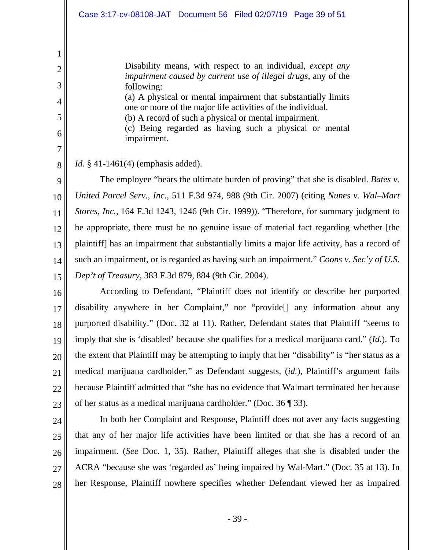Disability means, with respect to an individual, *except any impairment caused by current use of illegal drugs*, any of the following: (a) A physical or mental impairment that substantially limits one or more of the major life activities of the individual. (b) A record of such a physical or mental impairment. (c) Being regarded as having such a physical or mental

impairment.

*Id.* § 41-1461(4) (emphasis added).

9 10 11 12 13 14 15 The employee "bears the ultimate burden of proving" that she is disabled. *Bates v. United Parcel Serv., Inc.*, 511 F.3d 974, 988 (9th Cir. 2007) (citing *Nunes v. Wal–Mart Stores, Inc.*, 164 F.3d 1243, 1246 (9th Cir. 1999)). "Therefore, for summary judgment to be appropriate, there must be no genuine issue of material fact regarding whether [the plaintiff] has an impairment that substantially limits a major life activity, has a record of such an impairment, or is regarded as having such an impairment." *Coons v. Sec'y of U.S. Dep't of Treasury*, 383 F.3d 879, 884 (9th Cir. 2004).

16 17 18 19 20 21 22 23 According to Defendant, "Plaintiff does not identify or describe her purported disability anywhere in her Complaint," nor "provide[] any information about any purported disability." (Doc. 32 at 11). Rather, Defendant states that Plaintiff "seems to imply that she is 'disabled' because she qualifies for a medical marijuana card." (*Id.*). To the extent that Plaintiff may be attempting to imply that her "disability" is "her status as a medical marijuana cardholder," as Defendant suggests, (*id.*), Plaintiff's argument fails because Plaintiff admitted that "she has no evidence that Walmart terminated her because of her status as a medical marijuana cardholder." (Doc. 36 ¶ 33).

24

1

2

3

4

5

6

7

8

25 26

27

28

 In both her Complaint and Response, Plaintiff does not aver any facts suggesting that any of her major life activities have been limited or that she has a record of an impairment. (*See* Doc. 1, 35). Rather, Plaintiff alleges that she is disabled under the ACRA "because she was 'regarded as' being impaired by Wal-Mart." (Doc. 35 at 13). In her Response, Plaintiff nowhere specifies whether Defendant viewed her as impaired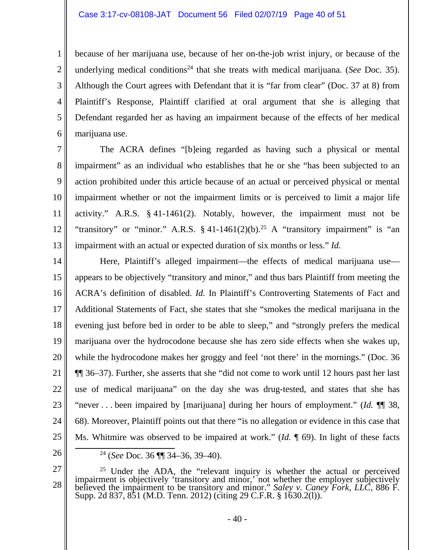because of her marijuana use, because of her on-the-job wrist injury, or because of the underlying medical conditions<sup>24</sup> that she treats with medical marijuana. (*See* Doc. 35). Although the Court agrees with Defendant that it is "far from clear" (Doc. 37 at 8) from Plaintiff's Response, Plaintiff clarified at oral argument that she is alleging that Defendant regarded her as having an impairment because of the effects of her medical marijuana use.

7 8 9 10 11 12 13 The ACRA defines "[b]eing regarded as having such a physical or mental impairment" as an individual who establishes that he or she "has been subjected to an action prohibited under this article because of an actual or perceived physical or mental impairment whether or not the impairment limits or is perceived to limit a major life activity." A.R.S. § 41-1461(2). Notably, however, the impairment must not be "transitory" or "minor." A.R.S.  $\S$  41-1461(2)(b).<sup>25</sup> A "transitory impairment" is "an impairment with an actual or expected duration of six months or less." *Id.*

14 15 16 17 18 19 20 21 22 23 24 25 26 Here, Plaintiff's alleged impairment—the effects of medical marijuana use appears to be objectively "transitory and minor," and thus bars Plaintiff from meeting the ACRA's definition of disabled. *Id.* In Plaintiff's Controverting Statements of Fact and Additional Statements of Fact, she states that she "smokes the medical marijuana in the evening just before bed in order to be able to sleep," and "strongly prefers the medical marijuana over the hydrocodone because she has zero side effects when she wakes up, while the hydrocodone makes her groggy and feel 'not there' in the mornings." (Doc. 36 ¶¶ 36–37). Further, she asserts that she "did not come to work until 12 hours past her last use of medical marijuana" on the day she was drug-tested, and states that she has "never . . . been impaired by [marijuana] during her hours of employment." (*Id.* ¶¶ 38, 68). Moreover, Plaintiff points out that there "is no allegation or evidence in this case that Ms. Whitmire was observed to be impaired at work." (*Id.* ¶ 69). In light of these facts

27

1

2

3

4

5

 <sup>24 (</sup>*See* Doc. 36 ¶¶ 34–36, 39–40).

<sup>28</sup>  <sup>25</sup> Under the ADA, the "relevant inquiry is whether the actual or perceived impairment is objectively 'transitory and minor,' not whether the employer subjectively believed the impairment to be transitory and minor." Sal Supp. 2d 837, 851 (M.D. Tenn. 2012) (citing 29 C.F.R. § 1630.2(1)).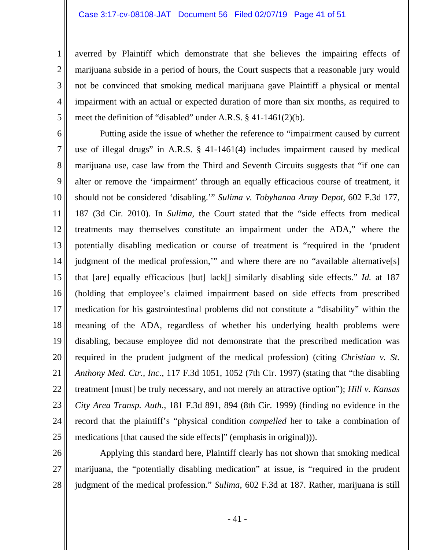1

2

3

4

5

27

averred by Plaintiff which demonstrate that she believes the impairing effects of marijuana subside in a period of hours, the Court suspects that a reasonable jury would not be convinced that smoking medical marijuana gave Plaintiff a physical or mental impairment with an actual or expected duration of more than six months, as required to meet the definition of "disabled" under A.R.S. § 41-1461(2)(b).

6 7 8 9 10 11 12 13 14 15 16 17 18 19 20 21 22 23 24 25 Putting aside the issue of whether the reference to "impairment caused by current use of illegal drugs" in A.R.S. § 41-1461(4) includes impairment caused by medical marijuana use, case law from the Third and Seventh Circuits suggests that "if one can alter or remove the 'impairment' through an equally efficacious course of treatment, it should not be considered 'disabling.'" *Sulima v. Tobyhanna Army Depot*, 602 F.3d 177, 187 (3d Cir. 2010). In *Sulima*, the Court stated that the "side effects from medical treatments may themselves constitute an impairment under the ADA," where the potentially disabling medication or course of treatment is "required in the 'prudent judgment of the medical profession," and where there are no "available alternative[s] that [are] equally efficacious [but] lack[] similarly disabling side effects." *Id.* at 187 (holding that employee's claimed impairment based on side effects from prescribed medication for his gastrointestinal problems did not constitute a "disability" within the meaning of the ADA, regardless of whether his underlying health problems were disabling, because employee did not demonstrate that the prescribed medication was required in the prudent judgment of the medical profession) (citing *Christian v. St. Anthony Med. Ctr., Inc.*, 117 F.3d 1051, 1052 (7th Cir. 1997) (stating that "the disabling treatment [must] be truly necessary, and not merely an attractive option"); *Hill v. Kansas City Area Transp. Auth.*, 181 F.3d 891, 894 (8th Cir. 1999) (finding no evidence in the record that the plaintiff's "physical condition *compelled* her to take a combination of medications [that caused the side effects]" (emphasis in original))).

26 28 Applying this standard here, Plaintiff clearly has not shown that smoking medical marijuana, the "potentially disabling medication" at issue, is "required in the prudent judgment of the medical profession." *Sulima*, 602 F.3d at 187. Rather, marijuana is still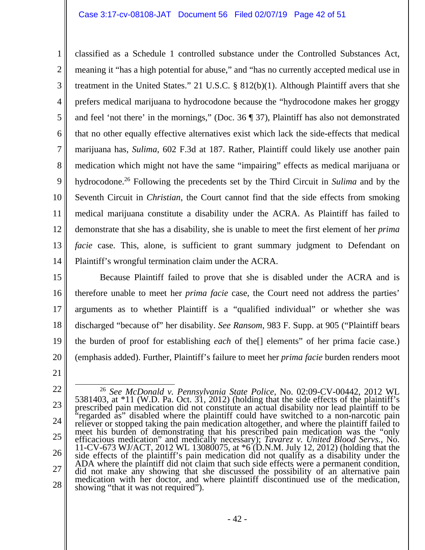1 2 3 4 5 6 7 8 9 10 11 12 13 14 classified as a Schedule 1 controlled substance under the Controlled Substances Act, meaning it "has a high potential for abuse," and "has no currently accepted medical use in treatment in the United States." 21 U.S.C. § 812(b)(1). Although Plaintiff avers that she prefers medical marijuana to hydrocodone because the "hydrocodone makes her groggy and feel 'not there' in the mornings," (Doc. 36 ¶ 37), Plaintiff has also not demonstrated that no other equally effective alternatives exist which lack the side-effects that medical marijuana has, *Sulima*, 602 F.3d at 187. Rather, Plaintiff could likely use another pain medication which might not have the same "impairing" effects as medical marijuana or hydrocodone.26 Following the precedents set by the Third Circuit in *Sulima* and by the Seventh Circuit in *Christian*, the Court cannot find that the side effects from smoking medical marijuana constitute a disability under the ACRA. As Plaintiff has failed to demonstrate that she has a disability, she is unable to meet the first element of her *prima facie* case. This, alone, is sufficient to grant summary judgment to Defendant on Plaintiff's wrongful termination claim under the ACRA.

15 16 17 18 19 20 Because Plaintiff failed to prove that she is disabled under the ACRA and is therefore unable to meet her *prima facie* case, the Court need not address the parties' arguments as to whether Plaintiff is a "qualified individual" or whether she was discharged "because of" her disability. *See Ransom*, 983 F. Supp. at 905 ("Plaintiff bears the burden of proof for establishing *each* of the[] elements" of her prima facie case.) (emphasis added). Further, Plaintiff's failure to meet her *prima facie* burden renders moot

<sup>22</sup>  23 24 25 26 27 28 26 *See McDonald v. Pennsylvania State Police*, No. 02:09-CV-00442, 2012 WL 5381403, at \*11 (W.D. Pa. Oct. 31, 2012) (holding that the side effects of the plaintiff's prescribed pain medication did not constitute an actual disability nor lead plaintiff to be "regarded as" disabled where the plaint efficacious medication" and medically necessary); *Tavarez v. United Blood Servs.*, No. 11-CV-673 WJ/ACT, 2012 WL 13080075, at  $*6$  (D.N.M. July 12, 2012) (holding that the side effects of the plaintiff's pain medication did not qualify as a disability under the ADA where the plaintiff did not claim that suc did not make any showing that she discussed the possibility of an alternative pain medication with her doctor, and where plaintiff discontinued use of the medication, showing "that it was not required").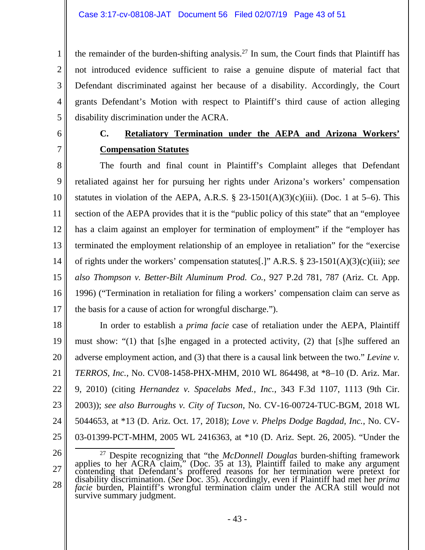the remainder of the burden-shifting analysis.<sup>27</sup> In sum, the Court finds that Plaintiff has not introduced evidence sufficient to raise a genuine dispute of material fact that Defendant discriminated against her because of a disability. Accordingly, the Court grants Defendant's Motion with respect to Plaintiff's third cause of action alleging disability discrimination under the ACRA.

6 7

1

2

3

4

5

# **C. Retaliatory Termination under the AEPA and Arizona Workers' Compensation Statutes**

8 9 10 11 12 13 14 15 16 17 The fourth and final count in Plaintiff's Complaint alleges that Defendant retaliated against her for pursuing her rights under Arizona's workers' compensation statutes in violation of the AEPA, A.R.S.  $\S$  23-1501(A)(3)(c)(iii). (Doc. 1 at 5–6). This section of the AEPA provides that it is the "public policy of this state" that an "employee has a claim against an employer for termination of employment" if the "employer has terminated the employment relationship of an employee in retaliation" for the "exercise of rights under the workers' compensation statutes[.]" A.R.S. § 23-1501(A)(3)(c)(iii); *see also Thompson v. Better-Bilt Aluminum Prod. Co.*, 927 P.2d 781, 787 (Ariz. Ct. App. 1996) ("Termination in retaliation for filing a workers' compensation claim can serve as the basis for a cause of action for wrongful discharge.").

18 19 20 21 22 23 24 25 In order to establish a *prima facie* case of retaliation under the AEPA, Plaintiff must show: "(1) that [s]he engaged in a protected activity, (2) that [s]he suffered an adverse employment action, and (3) that there is a causal link between the two." *Levine v. TERROS, Inc.*, No. CV08-1458-PHX-MHM, 2010 WL 864498, at \*8–10 (D. Ariz. Mar. 9, 2010) (citing *Hernandez v. Spacelabs Med., Inc.*, 343 F.3d 1107, 1113 (9th Cir. 2003)); *see also Burroughs v. City of Tucson*, No. CV-16-00724-TUC-BGM, 2018 WL 5044653, at \*13 (D. Ariz. Oct. 17, 2018); *Love v. Phelps Dodge Bagdad, Inc.*, No. CV-03-01399-PCT-MHM, 2005 WL 2416363, at \*10 (D. Ariz. Sept. 26, 2005). "Under the

<sup>27</sup>  28 <sup>27</sup> Despite recognizing that "the *McDonnell Douglas* burden-shifting framework applies to her ACRA claim," (Doc. 35 at 13), Plaintiff failed to make any argument contending that Defendant's proffered reasons for her termination were pretext for disability discrimination. (See Doc. 35). Accordingly, even if Plaintiff had met her *prima facie* burden, Plaintiff's wrongful termination survive summary judgment.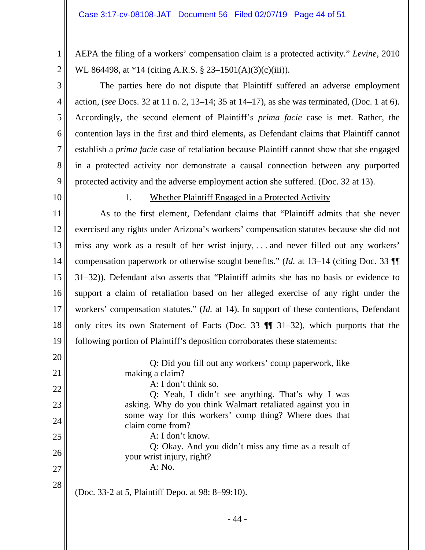AEPA the filing of a workers' compensation claim is a protected activity." *Levine*, 2010 WL 864498, at \*14 (citing A.R.S. § 23–1501(A)(3)(c)(iii)).

 The parties here do not dispute that Plaintiff suffered an adverse employment action, (*see* Docs. 32 at 11 n. 2, 13–14; 35 at 14–17), as she was terminated, (Doc. 1 at 6). Accordingly, the second element of Plaintiff's *prima facie* case is met. Rather, the contention lays in the first and third elements, as Defendant claims that Plaintiff cannot establish a *prima facie* case of retaliation because Plaintiff cannot show that she engaged in a protected activity nor demonstrate a causal connection between any purported protected activity and the adverse employment action she suffered. (Doc. 32 at 13).

10

1

2

3

4

5

6

7

8

9

#### 1. Whether Plaintiff Engaged in a Protected Activity

11 12 13 14 15 16 17 18 19 As to the first element, Defendant claims that "Plaintiff admits that she never exercised any rights under Arizona's workers' compensation statutes because she did not miss any work as a result of her wrist injury, . . . and never filled out any workers' compensation paperwork or otherwise sought benefits." (*Id.* at 13–14 (citing Doc. 33 ¶¶ 31–32)). Defendant also asserts that "Plaintiff admits she has no basis or evidence to support a claim of retaliation based on her alleged exercise of any right under the workers' compensation statutes." (*Id.* at 14). In support of these contentions, Defendant only cites its own Statement of Facts (Doc. 33 ¶¶ 31–32), which purports that the following portion of Plaintiff's deposition corroborates these statements:

20 21 22 23 24 25 26 27 28 Q: Did you fill out any workers' comp paperwork, like making a claim? A: I don't think so. Q: Yeah, I didn't see anything. That's why I was asking. Why do you think Walmart retaliated against you in some way for this workers' comp thing? Where does that claim come from? A: I don't know. Q: Okay. And you didn't miss any time as a result of your wrist injury, right? A: No. (Doc. 33-2 at 5, Plaintiff Depo. at 98: 8–99:10).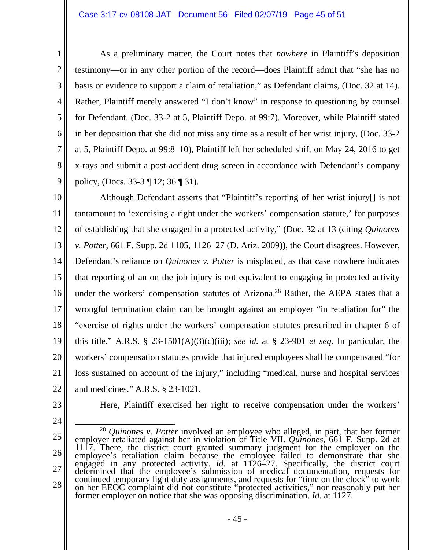As a preliminary matter, the Court notes that *nowhere* in Plaintiff's deposition testimony—or in any other portion of the record—does Plaintiff admit that "she has no basis or evidence to support a claim of retaliation," as Defendant claims, (Doc. 32 at 14). Rather, Plaintiff merely answered "I don't know" in response to questioning by counsel for Defendant. (Doc. 33-2 at 5, Plaintiff Depo. at 99:7). Moreover, while Plaintiff stated in her deposition that she did not miss any time as a result of her wrist injury, (Doc. 33-2 at 5, Plaintiff Depo. at 99:8–10), Plaintiff left her scheduled shift on May 24, 2016 to get x-rays and submit a post-accident drug screen in accordance with Defendant's company policy, (Docs. 33-3 ¶ 12; 36 ¶ 31).

10 11 12 13 14 15 16 17 18 19 20 21 22 Although Defendant asserts that "Plaintiff's reporting of her wrist injury[] is not tantamount to 'exercising a right under the workers' compensation statute,' for purposes of establishing that she engaged in a protected activity," (Doc. 32 at 13 (citing *Quinones v. Potter*, 661 F. Supp. 2d 1105, 1126–27 (D. Ariz. 2009)), the Court disagrees. However, Defendant's reliance on *Quinones v. Potter* is misplaced, as that case nowhere indicates that reporting of an on the job injury is not equivalent to engaging in protected activity under the workers' compensation statutes of Arizona.<sup>28</sup> Rather, the AEPA states that a wrongful termination claim can be brought against an employer "in retaliation for" the "exercise of rights under the workers' compensation statutes prescribed in chapter 6 of this title." A.R.S. § 23-1501(A)(3)(c)(iii); *see id.* at § 23-901 *et seq*. In particular, the workers' compensation statutes provide that injured employees shall be compensated "for loss sustained on account of the injury," including "medical, nurse and hospital services and medicines." A.R.S. § 23-1021.

23

1

2

3

4

5

6

7

8

9

24

Here, Plaintiff exercised her right to receive compensation under the workers'

- 45 -

<sup>25</sup>  26 27 28 <sup>28</sup> *Quinones v. Potter* involved an employee who alleged, in part, that her former<br>employer retaliated against her in violation of Title VII. *Quinones*, 661 F. Supp. 2d at<br>1117. There, the district court granted summar continued temporary light duty assignments, and requests for "time on the clock" to work<br>on her EEOC complaint did not constitute "protected activities," nor reasonably put her<br>former employer on notice that she was opposi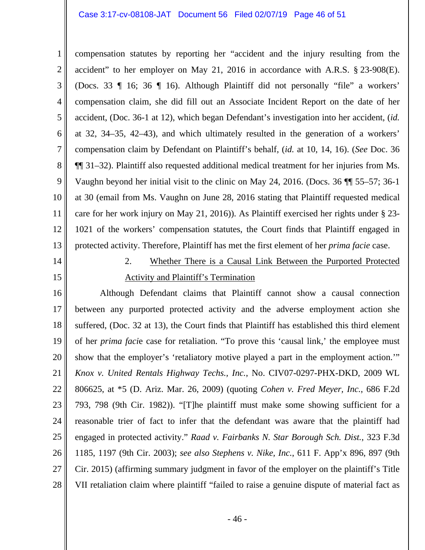1 2 3 4 5 6 7 8 9 10 11 12 13 compensation statutes by reporting her "accident and the injury resulting from the accident" to her employer on May 21, 2016 in accordance with A.R.S. § 23-908(E). (Docs. 33 ¶ 16; 36 ¶ 16). Although Plaintiff did not personally "file" a workers' compensation claim, she did fill out an Associate Incident Report on the date of her accident, (Doc. 36-1 at 12), which began Defendant's investigation into her accident, (*id.* at 32, 34–35, 42–43), and which ultimately resulted in the generation of a workers' compensation claim by Defendant on Plaintiff's behalf, (*id.* at 10, 14, 16). (*See* Doc. 36 ¶¶ 31–32). Plaintiff also requested additional medical treatment for her injuries from Ms. Vaughn beyond her initial visit to the clinic on May 24, 2016. (Docs. 36 ¶¶ 55–57; 36-1 at 30 (email from Ms. Vaughn on June 28, 2016 stating that Plaintiff requested medical care for her work injury on May 21, 2016)). As Plaintiff exercised her rights under § 23- 1021 of the workers' compensation statutes, the Court finds that Plaintiff engaged in protected activity. Therefore, Plaintiff has met the first element of her *prima facie* case.

- 14
- 15

# 2. Whether There is a Causal Link Between the Purported Protected Activity and Plaintiff's Termination

16 17 18 19 20 21 22 23 24 25 26 27 28 Although Defendant claims that Plaintiff cannot show a causal connection between any purported protected activity and the adverse employment action she suffered, (Doc. 32 at 13), the Court finds that Plaintiff has established this third element of her *prima faci*e case for retaliation. "To prove this 'causal link,' the employee must show that the employer's 'retaliatory motive played a part in the employment action.'" *Knox v. United Rentals Highway Techs., Inc.*, No. CIV07-0297-PHX-DKD, 2009 WL 806625, at \*5 (D. Ariz. Mar. 26, 2009) (quoting *Cohen v. Fred Meyer, Inc.*, 686 F.2d 793, 798 (9th Cir. 1982)). "[T]he plaintiff must make some showing sufficient for a reasonable trier of fact to infer that the defendant was aware that the plaintiff had engaged in protected activity." *Raad v. Fairbanks N. Star Borough Sch. Dist.*, 323 F.3d 1185, 1197 (9th Cir. 2003); *see also Stephens v. Nike, Inc.*, 611 F. App'x 896, 897 (9th Cir. 2015) (affirming summary judgment in favor of the employer on the plaintiff's Title VII retaliation claim where plaintiff "failed to raise a genuine dispute of material fact as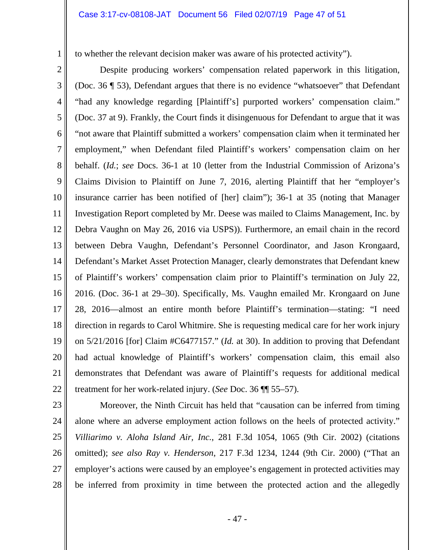to whether the relevant decision maker was aware of his protected activity").

2

1

3 4 5 6 7 8 9 10 11 12 13 14 15 16 17 18 19 20 21 22 Despite producing workers' compensation related paperwork in this litigation, (Doc. 36 ¶ 53), Defendant argues that there is no evidence "whatsoever" that Defendant "had any knowledge regarding [Plaintiff's] purported workers' compensation claim." (Doc. 37 at 9). Frankly, the Court finds it disingenuous for Defendant to argue that it was "not aware that Plaintiff submitted a workers' compensation claim when it terminated her employment," when Defendant filed Plaintiff's workers' compensation claim on her behalf. (*Id.*; *see* Docs. 36-1 at 10 (letter from the Industrial Commission of Arizona's Claims Division to Plaintiff on June 7, 2016, alerting Plaintiff that her "employer's insurance carrier has been notified of [her] claim"); 36-1 at 35 (noting that Manager Investigation Report completed by Mr. Deese was mailed to Claims Management, Inc. by Debra Vaughn on May 26, 2016 via USPS)). Furthermore, an email chain in the record between Debra Vaughn, Defendant's Personnel Coordinator, and Jason Krongaard, Defendant's Market Asset Protection Manager, clearly demonstrates that Defendant knew of Plaintiff's workers' compensation claim prior to Plaintiff's termination on July 22, 2016. (Doc. 36-1 at 29–30). Specifically, Ms. Vaughn emailed Mr. Krongaard on June 28, 2016—almost an entire month before Plaintiff's termination—stating: "I need direction in regards to Carol Whitmire. She is requesting medical care for her work injury on 5/21/2016 [for] Claim #C6477157." (*Id.* at 30). In addition to proving that Defendant had actual knowledge of Plaintiff's workers' compensation claim, this email also demonstrates that Defendant was aware of Plaintiff's requests for additional medical treatment for her work-related injury. (*See* Doc. 36 ¶¶ 55–57).

23 24 25 26 27 28 Moreover, the Ninth Circuit has held that "causation can be inferred from timing alone where an adverse employment action follows on the heels of protected activity." *Villiarimo v. Aloha Island Air, Inc.*, 281 F.3d 1054, 1065 (9th Cir. 2002) (citations omitted); *see also Ray v. Henderson*, 217 F.3d 1234, 1244 (9th Cir. 2000) ("That an employer's actions were caused by an employee's engagement in protected activities may be inferred from proximity in time between the protected action and the allegedly

- 47 -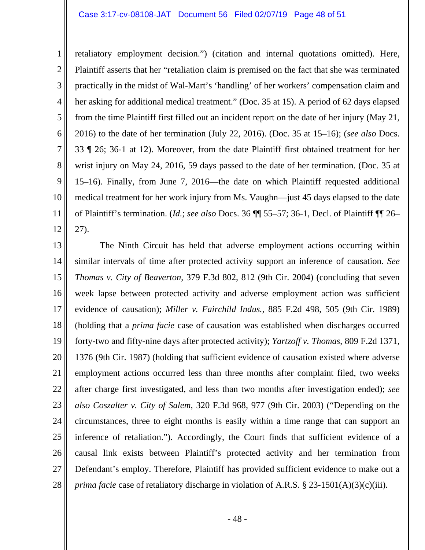1 2 3 4 5 6 7 8 9 10 11 12 retaliatory employment decision.") (citation and internal quotations omitted). Here, Plaintiff asserts that her "retaliation claim is premised on the fact that she was terminated practically in the midst of Wal-Mart's 'handling' of her workers' compensation claim and her asking for additional medical treatment." (Doc. 35 at 15). A period of 62 days elapsed from the time Plaintiff first filled out an incident report on the date of her injury (May 21, 2016) to the date of her termination (July 22, 2016). (Doc. 35 at 15–16); (*see also* Docs. 33 ¶ 26; 36-1 at 12). Moreover, from the date Plaintiff first obtained treatment for her wrist injury on May 24, 2016, 59 days passed to the date of her termination. (Doc. 35 at 15–16). Finally, from June 7, 2016—the date on which Plaintiff requested additional medical treatment for her work injury from Ms. Vaughn—just 45 days elapsed to the date of Plaintiff's termination. (*Id.*; *see also* Docs. 36 ¶¶ 55–57; 36-1, Decl. of Plaintiff ¶¶ 26– 27).

13 14 15 16 17 18 19 20 21 22 23 24 25 26 27 28 The Ninth Circuit has held that adverse employment actions occurring within similar intervals of time after protected activity support an inference of causation. *See Thomas v. City of Beaverton*, 379 F.3d 802, 812 (9th Cir. 2004) (concluding that seven week lapse between protected activity and adverse employment action was sufficient evidence of causation); *Miller v. Fairchild Indus.*, 885 F.2d 498, 505 (9th Cir. 1989) (holding that a *prima facie* case of causation was established when discharges occurred forty-two and fifty-nine days after protected activity); *Yartzoff v. Thomas*, 809 F.2d 1371, 1376 (9th Cir. 1987) (holding that sufficient evidence of causation existed where adverse employment actions occurred less than three months after complaint filed, two weeks after charge first investigated, and less than two months after investigation ended); *see also Coszalter v. City of Salem*, 320 F.3d 968, 977 (9th Cir. 2003) ("Depending on the circumstances, three to eight months is easily within a time range that can support an inference of retaliation."). Accordingly, the Court finds that sufficient evidence of a causal link exists between Plaintiff's protected activity and her termination from Defendant's employ. Therefore, Plaintiff has provided sufficient evidence to make out a *prima facie* case of retaliatory discharge in violation of A.R.S. § 23-1501(A)(3)(c)(iii).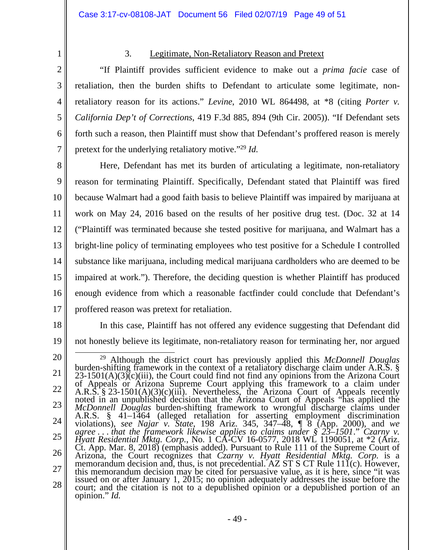2 3

4

5

6

7

1

# 3. Legitimate, Non-Retaliatory Reason and Pretext

 "If Plaintiff provides sufficient evidence to make out a *prima facie* case of retaliation, then the burden shifts to Defendant to articulate some legitimate, nonretaliatory reason for its actions." *Levine*, 2010 WL 864498, at \*8 (citing *Porter v. California Dep't of Corrections*, 419 F.3d 885, 894 (9th Cir. 2005)). "If Defendant sets forth such a reason, then Plaintiff must show that Defendant's proffered reason is merely pretext for the underlying retaliatory motive."29 *Id.*

8 9 10 11 12 13 14 15 16 17 Here, Defendant has met its burden of articulating a legitimate, non-retaliatory reason for terminating Plaintiff. Specifically, Defendant stated that Plaintiff was fired because Walmart had a good faith basis to believe Plaintiff was impaired by marijuana at work on May 24, 2016 based on the results of her positive drug test. (Doc. 32 at 14 ("Plaintiff was terminated because she tested positive for marijuana, and Walmart has a bright-line policy of terminating employees who test positive for a Schedule I controlled substance like marijuana, including medical marijuana cardholders who are deemed to be impaired at work."). Therefore, the deciding question is whether Plaintiff has produced enough evidence from which a reasonable factfinder could conclude that Defendant's proffered reason was pretext for retaliation.

18

19 In this case, Plaintiff has not offered any evidence suggesting that Defendant did not honestly believe its legitimate, non-retaliatory reason for terminating her, nor argued

<sup>21</sup>  22 23 24 25 26 27 28 <sup>29</sup> Although the district court has previously applied this *McDonnell Douglas* burden-shifting framework in the context of a retaliatory discharge claim under A.R.S. § 23-1501(A)(3)(c)(iii), the Court could find not fin  $25-1501(A)(5)(c)(iii)$ , the Court could find not find any opinions from the Arizona Court<br>of Appeals or Arizona Supreme Court applying this framework to a claim under<br>A.R.S. § 23-1501(A)(3)(c)(iii). Nevertheless, the Arizona C *agree . . . that the framework likewise applies to claims under § 23–1501*." *Czarny v. Hyatt Residential Mktg. Corp.*, No. 1 CA-CV 16-0577, 2018 WL 1190051, at \*2 (Ariz. Ct. App. Mar. 8, 2018) (emphasis added). Pursuant to Rule 111 of the Supreme Court of Arizona, the Court recognizes that *Czarny v. Hyatt Residential Mktg. Corp.* is a Arizona, the Court recognizes that  $C_{zarny}$  v. Hyatt Residential Mktg. Corp. is a memorandum decision and, thus, is not precedential. AZ ST S CT Rule 111(c). However, this memorandum decision may be cited for persuasive value, as it is here, since "it was issued on or after January 1, 2015; no opinion adequately addresses the issue before the court; and the citation is not to a depublished opinion or a depublished portion of an opinion." *Id.*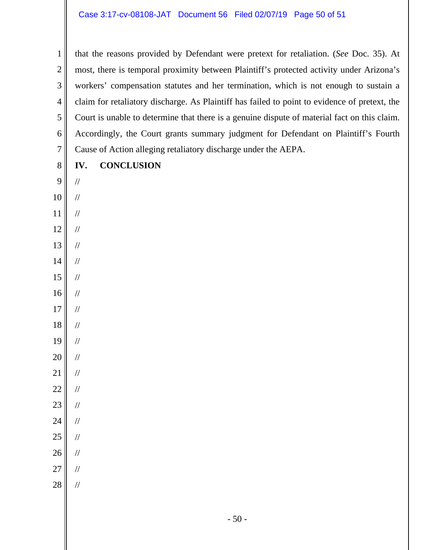1 2 3 4 5 6 7 that the reasons provided by Defendant were pretext for retaliation. (*See* Doc. 35). At most, there is temporal proximity between Plaintiff's protected activity under Arizona's workers' compensation statutes and her termination, which is not enough to sustain a claim for retaliatory discharge. As Plaintiff has failed to point to evidence of pretext, the Court is unable to determine that there is a genuine dispute of material fact on this claim. Accordingly, the Court grants summary judgment for Defendant on Plaintiff's Fourth Cause of Action alleging retaliatory discharge under the AEPA.

8

**IV. CONCLUSION** 

- 9 10 // //
- 11 //
- 12 //
- 13 //
- 14 //
- 15 //
- 16 //
- 17 //
- 18 //
- 19 //
- 20 //
- 21 //
- 22 //
- 
- 23 //
- 24 //
- 25 //
- 26 //
- 27

//

//

28

- 50 -